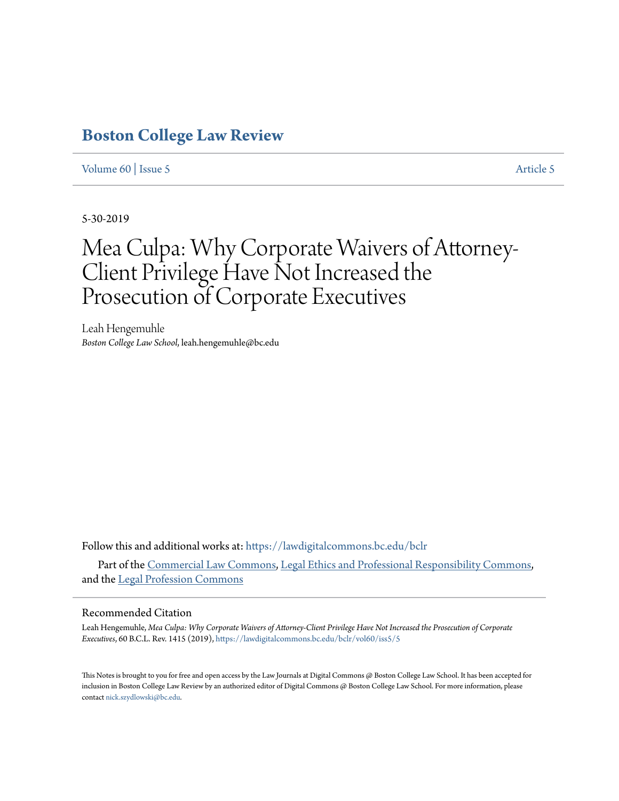# **[Boston College Law Review](https://lawdigitalcommons.bc.edu/bclr?utm_source=lawdigitalcommons.bc.edu%2Fbclr%2Fvol60%2Fiss5%2F5&utm_medium=PDF&utm_campaign=PDFCoverPages)**

[Volume 60](https://lawdigitalcommons.bc.edu/bclr/vol60?utm_source=lawdigitalcommons.bc.edu%2Fbclr%2Fvol60%2Fiss5%2F5&utm_medium=PDF&utm_campaign=PDFCoverPages) | [Issue 5](https://lawdigitalcommons.bc.edu/bclr/vol60/iss5?utm_source=lawdigitalcommons.bc.edu%2Fbclr%2Fvol60%2Fiss5%2F5&utm_medium=PDF&utm_campaign=PDFCoverPages) [Article 5](https://lawdigitalcommons.bc.edu/bclr/vol60/iss5/5?utm_source=lawdigitalcommons.bc.edu%2Fbclr%2Fvol60%2Fiss5%2F5&utm_medium=PDF&utm_campaign=PDFCoverPages)

5-30-2019

# Mea Culpa: Why Corporate Waivers of Attorney-Client Privilege Have Not Increased the Prosecution of Corporate Executives

Leah Hengemuhle *Boston College Law School*, leah.hengemuhle@bc.edu

Follow this and additional works at: [https://lawdigitalcommons.bc.edu/bclr](https://lawdigitalcommons.bc.edu/bclr?utm_source=lawdigitalcommons.bc.edu%2Fbclr%2Fvol60%2Fiss5%2F5&utm_medium=PDF&utm_campaign=PDFCoverPages)

Part of the [Commercial Law Commons](http://network.bepress.com/hgg/discipline/586?utm_source=lawdigitalcommons.bc.edu%2Fbclr%2Fvol60%2Fiss5%2F5&utm_medium=PDF&utm_campaign=PDFCoverPages), [Legal Ethics and Professional Responsibility Commons,](http://network.bepress.com/hgg/discipline/895?utm_source=lawdigitalcommons.bc.edu%2Fbclr%2Fvol60%2Fiss5%2F5&utm_medium=PDF&utm_campaign=PDFCoverPages) and the [Legal Profession Commons](http://network.bepress.com/hgg/discipline/1075?utm_source=lawdigitalcommons.bc.edu%2Fbclr%2Fvol60%2Fiss5%2F5&utm_medium=PDF&utm_campaign=PDFCoverPages)

#### Recommended Citation

Leah Hengemuhle, *Mea Culpa: Why Corporate Waivers of Attorney-Client Privilege Have Not Increased the Prosecution of Corporate Executives*, 60 B.C.L. Rev. 1415 (2019), [https://lawdigitalcommons.bc.edu/bclr/vol60/iss5/5](https://lawdigitalcommons.bc.edu/bclr/vol60/iss5/5?utm_source=lawdigitalcommons.bc.edu%2Fbclr%2Fvol60%2Fiss5%2F5&utm_medium=PDF&utm_campaign=PDFCoverPages)

This Notes is brought to you for free and open access by the Law Journals at Digital Commons @ Boston College Law School. It has been accepted for inclusion in Boston College Law Review by an authorized editor of Digital Commons @ Boston College Law School. For more information, please contact [nick.szydlowski@bc.edu](mailto:nick.szydlowski@bc.edu).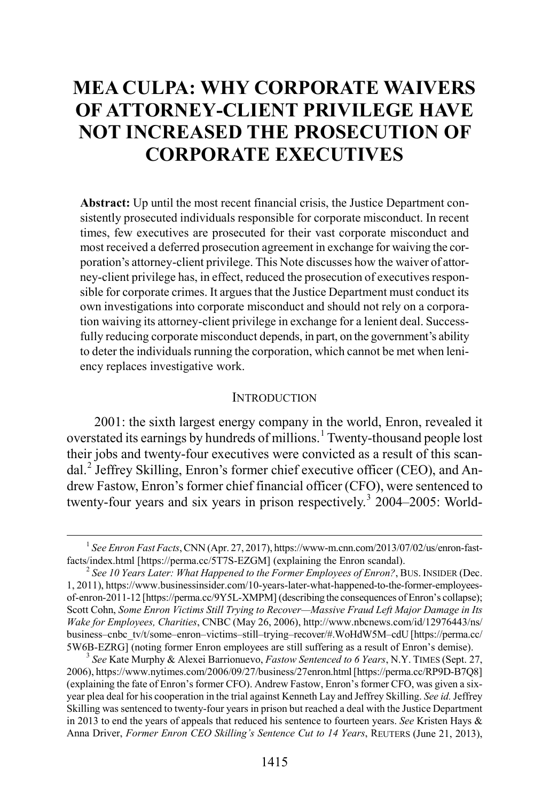# **MEA CULPA: WHY CORPORATE WAIVERS OF ATTORNEY-CLIENT PRIVILEGE HAVE NOT INCREASED THE PROSECUTION OF CORPORATE EXECUTIVES**

**Abstract:** Up until the most recent financial crisis, the Justice Department consistently prosecuted individuals responsible for corporate misconduct. In recent times, few executives are prosecuted for their vast corporate misconduct and most received a deferred prosecution agreement in exchange for waiving the corporation's attorney-client privilege. This Note discusses how the waiver of attorney-client privilege has, in effect, reduced the prosecution of executives responsible for corporate crimes. It argues that the Justice Department must conduct its own investigations into corporate misconduct and should not rely on a corporation waiving its attorney-client privilege in exchange for a lenient deal. Successfully reducing corporate misconduct depends, in part, on the government's ability to deter the individuals running the corporation, which cannot be met when leniency replaces investigative work.

#### <span id="page-1-5"></span><span id="page-1-3"></span>**INTRODUCTION**

<span id="page-1-4"></span>2001: the sixth largest energy company in the world, Enron, revealed it overstated its earnings by hundreds of millions.<sup>[1](#page-1-0)</sup> Twenty-thousand people lost their jobs and twenty-four executives were convicted as a result of this scan-dal.<sup>[2](#page-1-1)</sup> Jeffrey Skilling, Enron's former chief executive officer (CEO), and Andrew Fastow, Enron's former chief financial officer (CFO), were sentenced to twenty-four years and six years in prison respectively.<sup>[3](#page-1-2)</sup> 2004–2005: World-

<span id="page-1-2"></span>2006), https://www.nytimes.com/2006/09/27/business/27enron.html [https://perma.cc/RP9D-B7Q8] (explaining the fate of Enron's former CFO). Andrew Fastow, Enron's former CFO, was given a sixyear plea deal for his cooperation in the trial against Kenneth Lay and Jeffrey Skilling. *See id.* Jeffrey Skilling was sentenced to twenty-four years in prison but reached a deal with the Justice Department in 2013 to end the years of appeals that reduced his sentence to fourteen years. *See* Kristen Hays & Anna Driver, *Former Enron CEO Skilling's Sentence Cut to 14 Years*, REUTERS (June 21, 2013),

<span id="page-1-0"></span><sup>&</sup>lt;sup>1</sup> *See Enron Fast Facts*, CNN (Apr. 27, 2017), https://www-m.cnn.com/2013/07/02/us/enron-fast-<br>facts/index.html [https://perma.cc/5T7S-EZGM] (explaining the Enron scandal).

<span id="page-1-1"></span><sup>&</sup>lt;sup>2</sup> See 10 Years Later: What Happened to the Former Employees of Enron?, BUS. INSIDER (Dec. 1, 2011), https://www.businessinsider.com/10-years-later-what-happened-to-the-former-employeesof-enron-2011-12 [https://perma.cc/9Y5L-XMPM] (describing the consequences of Enron's collapse); Scott Cohn, *Some Enron Victims Still Trying to Recover—Massive Fraud Left Major Damage in Its Wake for Employees, Charities*, CNBC (May 26, 2006), http://www.nbcnews.com/id/12976443/ns/ business–cnbc\_tv/t/some–enron–victims–still–trying–recover/#.WoHdW5M–cdU [https://perma.cc/ 5W6B-EZRG] (noting former Enron employees are still suffering as a result of Enron's demise). <sup>3</sup> *See* Kate Murphy & Alexei Barrionuevo, *Fastow Sentenced to 6 Years*, N.Y. TIMES (Sept. 27,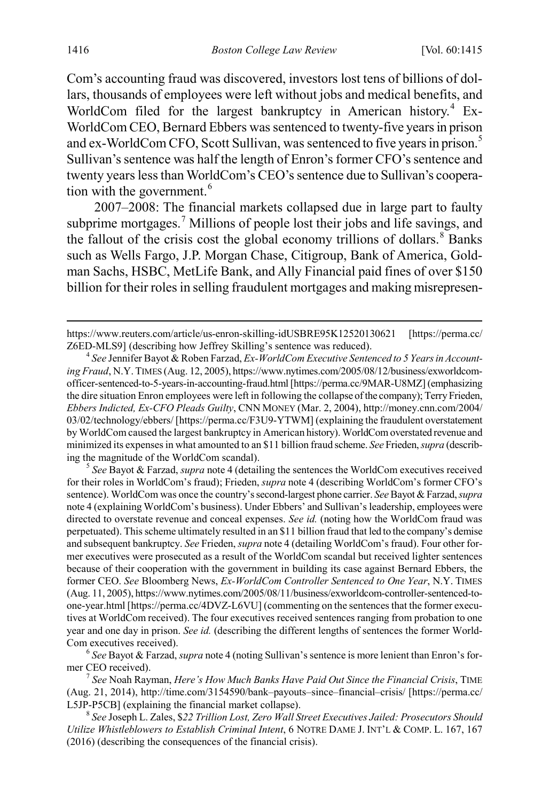<span id="page-2-8"></span><span id="page-2-0"></span>Com's accounting fraud was discovered, investors lost tens of billions of dollars, thousands of employees were left without jobs and medical benefits, and WorldCom filed for the largest bankruptcy in American history.<sup>[4](#page-2-1)</sup> Ex-WorldCom CEO, Bernard Ebbers was sentenced to twenty-five years in prison and ex-WorldCom CFO, Scott Sullivan, was sentenced to five years in prison.[5](#page-2-2) Sullivan's sentence was half the length of Enron's former CFO's sentence and twenty years less than WorldCom's CEO's sentence due to Sullivan's coopera-tion with the government.<sup>[6](#page-2-3)</sup>

<span id="page-2-7"></span><span id="page-2-6"></span>2007–2008: The financial markets collapsed due in large part to faulty subprime mortgages.<sup>[7](#page-2-4)</sup> Millions of people lost their jobs and life savings, and the fallout of the crisis cost the global economy trillions of dollars.<sup>[8](#page-2-5)</sup> Banks such as Wells Fargo, J.P. Morgan Chase, Citigroup, Bank of America, Goldman Sachs, HSBC, MetLife Bank, and Ally Financial paid fines of over \$150 billion for their roles in selling fraudulent mortgages and making misrepresen-

<span id="page-2-2"></span>for their roles in WorldCom's fraud); Frieden, *supra* note [4](#page-2-0) (describing WorldCom's former CFO's sentence). WorldCom was once the country's second-largest phone carrier. *See* Bayot & Farzad, *supra*  not[e 4](#page-2-0) (explaining WorldCom's business). Under Ebbers' and Sullivan's leadership, employees were directed to overstate revenue and conceal expenses. *See id.* (noting how the WorldCom fraud was perpetuated). This scheme ultimately resulted in an \$11 billion fraud that led to the company's demise and subsequent bankruptcy. *See* Frieden, *supra* not[e 4](#page-2-0) (detailing WorldCom's fraud). Four other former executives were prosecuted as a result of the WorldCom scandal but received lighter sentences because of their cooperation with the government in building its case against Bernard Ebbers, the former CEO. *See* Bloomberg News, *Ex-WorldCom Controller Sentenced to One Year*, N.Y. TIMES (Aug. 11, 2005), https://www.nytimes.com/2005/08/11/business/exworldcom-controller-sentenced-toone-year.html [https://perma.cc/4DVZ-L6VU] (commenting on the sentences that the former executives at WorldCom received). The four executives received sentences ranging from probation to one year and one day in prison. *See id.* (describing the different lengths of sentences the former World-

<span id="page-2-3"></span>Com executives received).<br><sup>6</sup> *See* Bayot & Farzad, *supra* not[e 4](#page-2-0) (noting Sullivan's sentence is more lenient than Enron's for-<br>mer CEO received).

<span id="page-2-4"></span>mer CEO received). <sup>7</sup> *See* Noah Rayman, *Here's How Much Banks Have Paid Out Since the Financial Crisis*, TIME (Aug. 21, 2014), http://time.com/3154590/bank–payouts–since–financial–crisis/ [https://perma.cc/ L5JP-P5CB] (explaining the financial market collapse).

<span id="page-2-5"></span><sup>8</sup> *See* Joseph L. Zales, \$*22 Trillion Lost, Zero Wall Street Executives Jailed: Prosecutors Should Utilize Whistleblowers to Establish Criminal Intent*, 6 NOTRE DAME J. INT'L & COMP. L. 167, 167 (2016) (describing the consequences of the financial crisis).

https://www.reuters.com/article/us-enron-skilling-idUSBRE95K12520130621 [https://perma.cc/<br>Z6ED-MLS9] (describing how Jeffrey Skilling's sentence was reduced).

<span id="page-2-1"></span><sup>&</sup>lt;sup>4</sup> See Jennifer Bayot & Roben Farzad, *Ex-WorldCom Executive Sentenced to 5 Years in Accounting Fraud*, N.Y. TIMES (Aug. 12, 2005), https://www.nytimes.com/2005/08/12/business/exworldcomofficer-sentenced-to-5-years-in-accounting-fraud.html [https://perma.cc/9MAR-U8MZ] (emphasizing the dire situation Enron employees were left in following the collapse of the company); Terry Frieden, *Ebbers Indicted, Ex-CFO Pleads Guilty*, CNN MONEY (Mar. 2, 2004), http://money.cnn.com/2004/ 03/02/technology/ebbers/ [https://perma.cc/F3U9-YTWM] (explaining the fraudulent overstatement by WorldCom caused the largest bankruptcy in American history). WorldCom overstated revenue and minimized its expensesin what amounted to an \$11 billion fraud scheme. *See* Frieden, *supra* (describing the magnitude of the WorldCom scandal). <sup>5</sup> *See* Bayot & Farzad, *supra* not[e 4](#page-2-0) (detailing the sentences the WorldCom executives received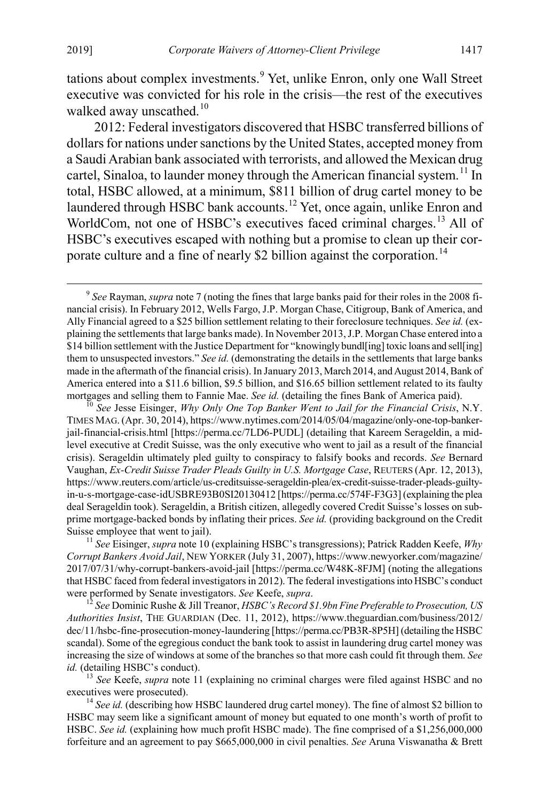tations about complex investments.<sup>[9](#page-3-2)</sup> Yet, unlike Enron, only one Wall Street executive was convicted for his role in the crisis—the rest of the executives walked away unscathed.<sup>[10](#page-3-3)</sup>

<span id="page-3-8"></span><span id="page-3-1"></span><span id="page-3-0"></span>2012: Federal investigators discovered that HSBC transferred billions of dollars for nations under sanctions by the United States, accepted money from a Saudi Arabian bank associated with terrorists, and allowed the Mexican drug cartel, Sinaloa, to launder money through the American financial system.<sup>[11](#page-3-4)</sup> In total, HSBC allowed, at a minimum, \$811 billion of drug cartel money to be laundered through HSBC bank accounts.<sup>[12](#page-3-5)</sup> Yet, once again, unlike Enron and WorldCom, not one of HSBC's executives faced criminal charges.<sup>[13](#page-3-6)</sup> All of HSBC's executives escaped with nothing but a promise to clean up their cor-porate culture and a fine of nearly \$2 billion against the corporation.<sup>[14](#page-3-7)</sup>

<span id="page-3-4"></span>*Corrupt Bankers Avoid Jail*, NEW YORKER (July 31, 2007), https://www.newyorker.com/magazine/ 2017/07/31/why-corrupt-bankers-avoid-jail [https://perma.cc/W48K-8FJM] (noting the allegations that HSBC faced from federal investigators in 2012). The federal investigations into HSBC's conduct were performed by Senate investigators. *See* Keefe, *supra*. 12 *See* Dominic Rushe & Jill Treanor, *HSBC's Record \$1.9bn Fine Preferable to Prosecution, US* 

<span id="page-3-5"></span>*Authorities Insist*, THE GUARDIAN (Dec. 11, 2012), https://www.theguardian.com/business/2012/ dec/11/hsbc-fine-prosecution-money-laundering [https://perma.cc/PB3R-8P5H] (detailing the HSBC scandal). Some of the egregious conduct the bank took to assist in laundering drug cartel money was increasing the size of windows at some of the branches so that more cash could fit through them. *See id.* (detailing HSBC's conduct).

<span id="page-3-6"></span><sup>13</sup> *See* Keefe, *supra* note [11](#page-3-1) (explaining no criminal charges were filed against HSBC and no executives were prosecuted).<br><sup>14</sup> *See id.* (describing how HSBC laundered drug cartel money). The fine of almost \$2 billion to

<span id="page-3-7"></span>HSBC may seem like a significant amount of money but equated to one month's worth of profit to HSBC. *See id.* (explaining how much profit HSBC made). The fine comprised of a \$1,256,000,000 forfeiture and an agreement to pay \$665,000,000 in civil penalties. *See* Aruna Viswanatha & Brett

<span id="page-3-2"></span> <sup>9</sup> *See* Rayman, *supra* not[e 7](#page-2-6) (noting the fines that large banks paid for their roles in the 2008 financial crisis). In February 2012, Wells Fargo, J.P. Morgan Chase, Citigroup, Bank of America, and Ally Financial agreed to a \$25 billion settlement relating to their foreclosure techniques. *See id.* (explaining the settlements that large banks made). In November 2013, J.P. Morgan Chase entered into a \$14 billion settlement with the Justice Department for "knowingly bundl[ing] toxic loans and sell[ing] them to unsuspected investors." *See id.* (demonstrating the details in the settlements that large banks made in the aftermath of the financial crisis). In January 2013, March 2014, and August 2014, Bank of America entered into a \$11.6 billion, \$9.5 billion, and \$16.65 billion settlement related to its faulty mortgages and selling them to Fannie Mae. *See id.* (detailing the fines Bank of America paid). <sup>10</sup> *See Jesse Eisinger, Why Only One Top Banker Went to Jail for the Financial Crisis*, N.Y.

<span id="page-3-3"></span>TIMES MAG.(Apr. 30, 2014), https://www.nytimes.com/2014/05/04/magazine/only-one-top-bankerjail-financial-crisis.html [https://perma.cc/7LD6-PUDL] (detailing that Kareem Serageldin, a midlevel executive at Credit Suisse, was the only executive who went to jail as a result of the financial crisis). Serageldin ultimately pled guilty to conspiracy to falsify books and records. *See* Bernard Vaughan, *Ex-Credit Suisse Trader Pleads Guilty in U.S. Mortgage Case*, REUTERS (Apr. 12, 2013), https://www.reuters.com/article/us-creditsuisse-serageldin-plea/ex-credit-suisse-trader-pleads-guiltyin-u-s-mortgage-case-idUSBRE93B0SI20130412 [https://perma.cc/574F-F3G3] (explaining the plea deal Serageldin took). Serageldin, a British citizen, allegedly covered Credit Suisse's losses on subprime mortgage-backed bonds by inflating their prices. *See id.* (providing background on the Credit Suisse employee that went to jail).<br><sup>11</sup> *See* Eisinger, *supra* not[e 10](#page-3-0) (explaining HSBC's transgressions); Patrick Radden Keefe, *Why*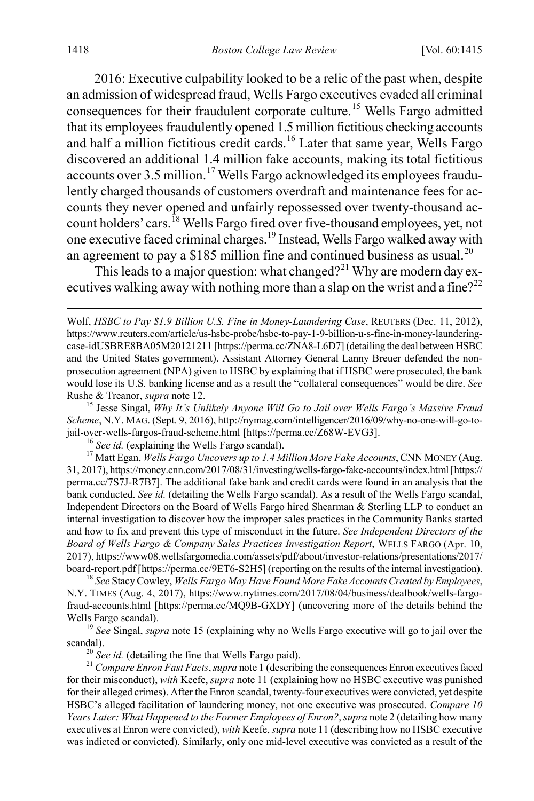<span id="page-4-0"></span>2016: Executive culpability looked to be a relic of the past when, despite an admission of widespread fraud, Wells Fargo executives evaded all criminal consequences for their fraudulent corporate culture.<sup>[15](#page-4-1)</sup> Wells Fargo admitted that its employees fraudulently opened 1.5 million fictitious checking accounts and half a million fictitious credit cards.<sup>[16](#page-4-2)</sup> Later that same year, Wells Fargo discovered an additional 1.4 million fake accounts, making its total fictitious accounts over 3.5 million.<sup>[17](#page-4-3)</sup> Wells Fargo acknowledged its employees fraudulently charged thousands of customers overdraft and maintenance fees for accounts they never opened and unfairly repossessed over twenty-thousand ac-count holders' cars.<sup>[18](#page-4-4)</sup> Wells Fargo fired over five-thousand employees, yet, not one executive faced criminal charges.[19](#page-4-5) Instead, Wells Fargo walked away with an agreement to pay a \$185 million fine and continued business as usual.<sup>[20](#page-4-6)</sup>

This leads to a major question: what changed?<sup>[21](#page-4-7)</sup> Why are modern day ex-ecutives walking away with nothing more than a slap on the wrist and a fine?<sup>[22](#page-4-8)</sup>

<span id="page-4-8"></span><span id="page-4-1"></span>*Scheme*, N.Y. MAG. (Sept. 9, 2016), http://nymag.com/intelligencer/2016/09/why-no-one-will-go-tojail-over-wells-fargos-fraud-scheme.html [https://perma.cc/Z68W-EVG3]. <sup>16</sup> *See id.* (explaining the Wells Fargo scandal). <sup>17</sup> Matt Egan, *Wells Fargo Uncovers up to 1.4 Million More Fake Accounts*, CNN MONEY (Aug.

<span id="page-4-3"></span><span id="page-4-2"></span>31, 2017), https://money.cnn.com/2017/08/31/investing/wells-fargo-fake-accounts/index.html [https:// perma.cc/7S7J-R7B7]. The additional fake bank and credit cards were found in an analysis that the bank conducted. *See id.* (detailing the Wells Fargo scandal). As a result of the Wells Fargo scandal, Independent Directors on the Board of Wells Fargo hired Shearman & Sterling LLP to conduct an internal investigation to discover how the improper sales practices in the Community Banks started and how to fix and prevent this type of misconduct in the future. *See Independent Directors of the Board of Wells Fargo & Company Sales Practices Investigation Report*, WELLS FARGO (Apr. 10, 2017), https://www08.wellsfargomedia.com/assets/pdf/about/investor-relations/presentations/2017/

<span id="page-4-4"></span>board-report.pdf [https://perma.cc/9ET6-S2H5] (reporting on the results of the internal investigation). <sup>18</sup> *See* Stacy Cowley, *Wells Fargo May Have Found More Fake Accounts Created by Employees*, N.Y. TIMES (Aug. 4, 2017), https://www.nytimes.com/2017/08/04/business/dealbook/wells-fargofraud-accounts.html [https://perma.cc/MQ9B-GXDY] (uncovering more of the details behind the Wells Fargo scandal). <sup>19</sup> *See* Singal, *supra* not[e 15](#page-4-0) (explaining why no Wells Fargo executive will go to jail over the

<span id="page-4-5"></span>scandal). <sup>20</sup> *See id.* (detailing the fine that Wells Fargo paid). <sup>21</sup> *Compare Enron Fast Facts*, *supra* not[e 1](#page-1-3) (describing the consequences Enron executives faced

<span id="page-4-7"></span><span id="page-4-6"></span>for their misconduct), *with* Keefe, *supra* not[e 11](#page-3-1) (explaining how no HSBC executive was punished for their alleged crimes). After the Enron scandal, twenty-four executives were convicted, yet despite HSBC's alleged facilitation of laundering money, not one executive was prosecuted. *Compare 10 Years Later: What Happened to the Former Employees of Enron?*, *supra* not[e 2](#page-1-4) (detailing how many executives at Enron were convicted), *with* Keefe, *supra* not[e 11](#page-3-1) (describing how no HSBC executive was indicted or convicted). Similarly, only one mid-level executive was convicted as a result of the

Wolf, *HSBC to Pay \$1.9 Billion U.S. Fine in Money-Laundering Case*, REUTERS (Dec. 11, 2012), https://www.reuters.com/article/us-hsbc-probe/hsbc-to-pay-1-9-billion-u-s-fine-in-money-launderingcase-idUSBRE8BA05M20121211 [https://perma.cc/ZNA8-L6D7] (detailing the deal between HSBC and the United States government). Assistant Attorney General Lanny Breuer defended the nonprosecution agreement (NPA) given to HSBC by explaining that if HSBC were prosecuted, the bank would lose its U.S. banking license and as a result the "collateral consequences" would be dire. *See*  Rushe & Treanor, *supra* not[e 12.](#page-3-8)<br><sup>15</sup> Jesse Singal, *Why It's Unlikely Anyone Will Go to Jail over Wells Fargo's Massive Fraud*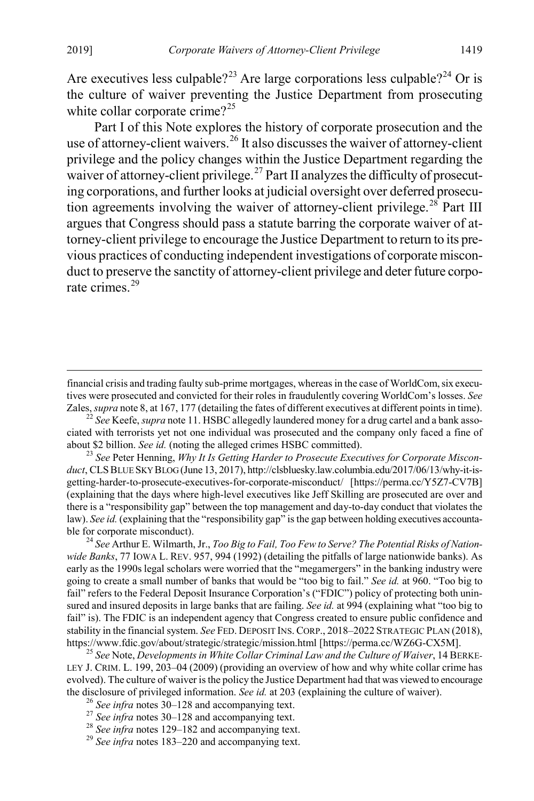Are executives less culpable?<sup>[23](#page-5-0)</sup> Are large corporations less culpable?<sup>[24](#page-5-1)</sup> Or is the culture of waiver preventing the Justice Department from prosecuting white collar corporate crime?<sup>[25](#page-5-2)</sup>

Part I of this Note explores the history of corporate prosecution and the use of attorney-client waivers.<sup>[26](#page-5-3)</sup> It also discusses the waiver of attorney-client privilege and the policy changes within the Justice Department regarding the waiver of attorney-client privilege.<sup>[27](#page-5-4)</sup> Part II analyzes the difficulty of prosecuting corporations, and further looks at judicial oversight over deferred prosecu-tion agreements involving the waiver of attorney-client privilege.<sup>[28](#page-5-5)</sup> Part III argues that Congress should pass a statute barring the corporate waiver of attorney-client privilege to encourage the Justice Department to return to its previous practices of conducting independent investigations of corporate misconduct to preserve the sanctity of attorney-client privilege and deter future corpo-rate crimes<sup>[29](#page-5-6)</sup>

Zales, *supra* not[e 8,](#page-2-7) at 167, 177 (detailing the fates of different executives at different points in time). <sup>22</sup> *See* Keefe, *supra* not[e 11.](#page-3-1) HSBC allegedly laundered money for a drug cartel and a bank associated with terrorists yet not one individual was prosecuted and the company only faced a fine of about \$2 billion. *See id.* (noting the alleged crimes HSBC committed). <sup>23</sup> *See* Peter Henning, *Why It Is Getting Harder to Prosecute Executives for Corporate Miscon-*

<span id="page-5-0"></span>*duct*, CLSBLUE SKY BLOG (June 13, 2017), http://clsbluesky.law.columbia.edu/2017/06/13/why-it-isgetting-harder-to-prosecute-executives-for-corporate-misconduct/ [https://perma.cc/Y5Z7-CV7B] (explaining that the days where high-level executives like Jeff Skilling are prosecuted are over and there is a "responsibility gap" between the top management and day-to-day conduct that violates the law). *See id.* (explaining that the "responsibility gap" is the gap between holding executives accountable for corporate misconduct). <sup>24</sup> *See* Arthur E. Wilmarth, Jr., *Too Big to Fail, Too Few to Serve? The Potential Risks of Nation-*

<span id="page-5-1"></span>*wide Banks*, 77 IOWA L. REV. 957, 994 (1992) (detailing the pitfalls of large nationwide banks). As early as the 1990s legal scholars were worried that the "megamergers" in the banking industry were going to create a small number of banks that would be "too big to fail." *See id.* at 960. "Too big to fail" refers to the Federal Deposit Insurance Corporation's ("FDIC") policy of protecting both uninsured and insured deposits in large banks that are failing. *See id.* at 994 (explaining what "too big to fail" is). The FDIC is an independent agency that Congress created to ensure public confidence and stability in the financial system. *See* FED. DEPOSIT INS. CORP., 2018–2022 STRATEGIC PLAN (2018), https://www.fdic.gov/about/strategic/strategic/mission.html [https://perma.cc/WZ6G-CX5M]. <sup>25</sup> *See* Note, *Developments in White Collar Criminal Law and the Culture of Waiver*, 14 BERKE-

<span id="page-5-3"></span><span id="page-5-2"></span>LEY J. CRIM. L. 199, 203–04 (2009) (providing an overview of how and why white collar crime has evolved). The culture of waiver is the policy the Justice Department had that was viewed to encourage the disclosure of privileged information. *See id.* at 203 (explaining the culture of waiver).<br><sup>26</sup> *See infra* note[s 30–](#page-6-0)[128](#page-21-0) and accompanying text.<br><sup>27</sup> *See infra* notes 30–128 and accompanying text.<br><sup>28</sup> *See infra* not

- <span id="page-5-4"></span>
- <span id="page-5-5"></span>
- <span id="page-5-6"></span>

financial crisis and trading faulty sub-prime mortgages, whereas in the case of WorldCom, six executives were prosecuted and convicted for their roles in fraudulently covering WorldCom's losses. *See*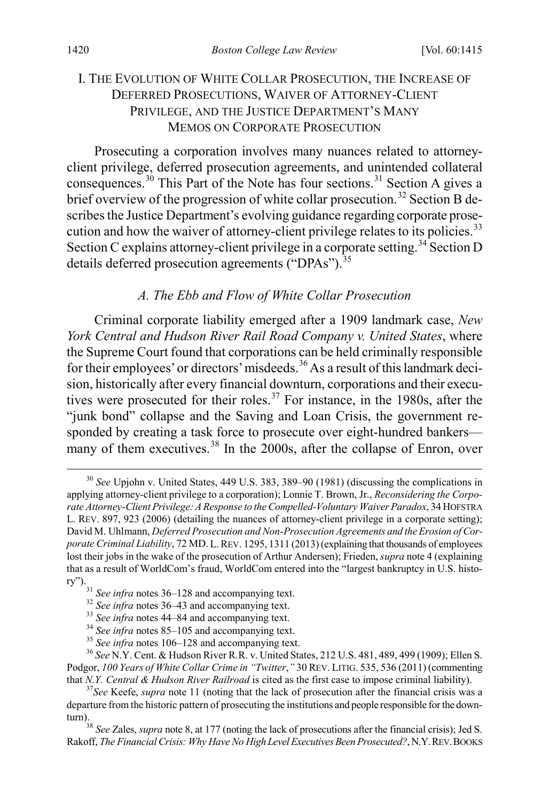### I. THE EVOLUTION OF WHITE COLLAR PROSECUTION, THE INCREASE OF DEFERRED PROSECUTIONS, WAIVER OF ATTORNEY-CLIENT PRIVILEGE, AND THE JUSTICE DEPARTMENT'S MANY MEMOS ON CORPORATE PROSECUTION

<span id="page-6-0"></span>Prosecuting a corporation involves many nuances related to attorneyclient privilege, deferred prosecution agreements, and unintended collateral consequences.<sup>[30](#page-6-2)</sup> This Part of the Note has four sections.<sup>[31](#page-6-3)</sup> Section A gives a brief overview of the progression of white collar prosecution.<sup>[32](#page-6-4)</sup> Section B describes the Justice Department's evolving guidance regarding corporate prose-cution and how the waiver of attorney-client privilege relates to its policies.<sup>[33](#page-6-5)</sup> Section C explains attorney-client privilege in a corporate setting.<sup>[34](#page-6-6)</sup> Section D details deferred prosecution agreements ("DPAs").<sup>[35](#page-6-7)</sup>

#### <span id="page-6-1"></span>*A. The Ebb and Flow of White Collar Prosecution*

Criminal corporate liability emerged after a 1909 landmark case, *New York Central and Hudson River Rail Road Company v. United States*, where the Supreme Court found that corporations can be held criminally responsible for their employees' or directors' misdeeds.<sup>[36](#page-6-8)</sup> As a result of this landmark decision, historically after every financial downturn, corporations and their execu-tives were prosecuted for their roles.<sup>[37](#page-6-9)</sup> For instance, in the 1980s, after the "junk bond" collapse and the Saving and Loan Crisis, the government responded by creating a task force to prosecute over eight-hundred bankers many of them executives. $38 \text{ In the } 2000$  $38 \text{ In the } 2000$ s, after the collapse of Enron, over

<span id="page-6-11"></span><span id="page-6-2"></span> <sup>30</sup> *See* Upjohn v. United States, 449 U.S. 383, 389–90 (1981) (discussing the complications in applying attorney-client privilege to a corporation); Lonnie T. Brown, Jr., *Reconsidering the Corporate Attorney-Client Privilege: A Response to the Compelled-Voluntary Waiver Paradox*, 34 HOFSTRA L. REV. 897, 923 (2006) (detailing the nuances of attorney-client privilege in a corporate setting); David M. Uhlmann, *Deferred Prosecution and Non-Prosecution Agreements and the Erosion of Corporate Criminal Liability*, 72 MD. L.REV. 1295, 1311 (2013) (explaining that thousands of employees lost their jobs in the wake of the prosecution of Arthur Andersen); Frieden, *supra* not[e 4](#page-2-0) (explaining that as a result of WorldCom's fraud, WorldCom entered into the "largest bankruptcy in U.S. history").<br>
<sup>31</sup> See infra note[s 36–](#page-6-1)[128](#page-21-0) and accompanying text.<br>
<sup>32</sup> See infra notes 36–[43](#page-8-0) and accompanying text.<br>
<sup>33</sup> See infra note[s 44–](#page-8-1)[84](#page-15-0) and accompanying text.<br>
<sup>34</sup> See infra note[s 85–](#page-15-1)[105](#page-18-0) and accompanying text.<br>
<sup>35</sup> See

<span id="page-6-3"></span>

<span id="page-6-8"></span><span id="page-6-7"></span><span id="page-6-6"></span><span id="page-6-5"></span><span id="page-6-4"></span>Podgor, *100 Years of White Collar Crime in "Twitter*,*"* 30 REV. LITIG. 535, 536 (2011) (commenting that *N.Y. Central & Hudson River Railroad* is cited as the first case to impose criminal liability). <sup>37</sup>*See* Keefe, *supra* note [11](#page-3-1) (noting that the lack of prosecution after the financial crisis was a

<span id="page-6-9"></span>departure from the historic pattern of prosecuting the institutions and people responsible for the down-

<span id="page-6-10"></span><sup>&</sup>lt;sup>38</sup> *See Zales, supra* not[e 8,](#page-2-7) at 177 (noting the lack of prosecutions after the financial crisis); Jed S. Rakoff, *The Financial Crisis: Why Have No High Level Executives Been Prosecuted?*, N.Y.REV.BOOKS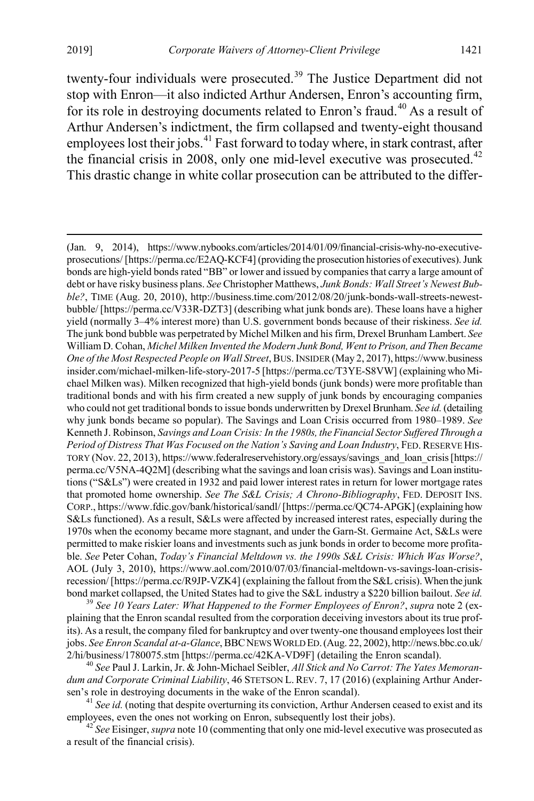<span id="page-7-4"></span>twenty-four individuals were prosecuted.<sup>[39](#page-7-0)</sup> The Justice Department did not stop with Enron—it also indicted Arthur Andersen, Enron's accounting firm, for its role in destroying documents related to Enron's fraud.<sup>[40](#page-7-1)</sup> As a result of Arthur Andersen's indictment, the firm collapsed and twenty-eight thousand employees lost their jobs.<sup>[41](#page-7-2)</sup> Fast forward to today where, in stark contrast, after the financial crisis in 2008, only one mid-level executive was prosecuted.<sup>[42](#page-7-3)</sup> This drastic change in white collar prosecution can be attributed to the differ-

<span id="page-7-0"></span>plaining that the Enron scandal resulted from the corporation deceiving investors about its true profits). As a result, the company filed for bankruptcy and over twenty-one thousand employees lost their jobs. *See Enron Scandal at-a-Glance*,BBCNEWS WORLD ED.(Aug. 22, 2002), http://news.bbc.co.uk/ 2/hi/business/1780075.stm [https://perma.cc/42KA-VD9F] (detailing the Enron scandal). <sup>40</sup> *See* Paul J. Larkin, Jr. & John-Michael Seibler, *All Stick and No Carrot: The Yates Memoran-*

<span id="page-7-1"></span>*dum and Corporate Criminal Liability*, 46 STETSON L. REV. 7, 17 (2016) (explaining Arthur Andersen's role in destroying documents in the wake of the Enron scandal).<br><sup>41</sup> *See id.* (noting that despite overturning its conviction, Arthur Andersen ceased to exist and its

<span id="page-7-2"></span>employees, even the ones not working on Enron, subsequently lost their jobs). <sup>42</sup> *See* Eisinger,*supra* not[e 10](#page-3-0) (commenting that only one mid-level executive was prosecuted as

<span id="page-7-3"></span>a result of the financial crisis).

 <sup>(</sup>Jan. 9, 2014), https://www.nybooks.com/articles/2014/01/09/financial-crisis-why-no-executiveprosecutions/ [https://perma.cc/E2AQ-KCF4] (providing the prosecution histories of executives). Junk bonds are high-yield bonds rated "BB" or lower and issued by companies that carry a large amount of debt or have risky business plans. *See* Christopher Matthews, *Junk Bonds: Wall Street's Newest Bubble?*, TIME (Aug. 20, 2010), http://business.time.com/2012/08/20/junk-bonds-wall-streets-newestbubble/ [https://perma.cc/V33R-DZT3] (describing what junk bonds are). These loans have a higher yield (normally 3–4% interest more) than U.S. government bonds because of their riskiness. *See id.*  The junk bond bubble was perpetrated by Michel Milken and his firm, Drexel Brunham Lambert. *See*  William D. Cohan, *Michel Milken Invented the Modern Junk Bond, Went to Prison, and Then Became One of the Most Respected People on Wall Street*, BUS.INSIDER (May 2, 2017), https://www.business insider.com/michael-milken-life-story-2017-5 [https://perma.cc/T3YE-S8VW] (explaining who Michael Milken was). Milken recognized that high-yield bonds (junk bonds) were more profitable than traditional bonds and with his firm created a new supply of junk bonds by encouraging companies who could not get traditional bonds to issue bonds underwritten by Drexel Brunham. *See id.*(detailing why junk bonds became so popular). The Savings and Loan Crisis occurred from 1980–1989. *See*  Kenneth J. Robinson, *Savings and Loan Crisis: In the 1980s, the Financial Sector Suffered Through a Period of Distress That Was Focused on the Nation's Saving and Loan Industry*, FED. RESERVE HIS-TORY (Nov. 22, 2013), https://www.federalreservehistory.org/essays/savings\_and\_loan\_crisis [https:// perma.cc/V5NA-4Q2M] (describing what the savings and loan crisis was). Savings and Loan institutions ("S&Ls") were created in 1932 and paid lower interest rates in return for lower mortgage rates that promoted home ownership. *See The S&L Crisis; A Chrono-Bibliography*, FED. DEPOSIT INS. CORP., https://www.fdic.gov/bank/historical/sandl/ [https://perma.cc/QC74-APGK] (explaining how S&Ls functioned). As a result, S&Ls were affected by increased interest rates, especially during the 1970s when the economy became more stagnant, and under the Garn-St. Germaine Act, S&Ls were permitted to make riskier loans and investments such as junk bonds in order to become more profitable. *See* Peter Cohan, *Today's Financial Meltdown vs. the 1990s S&L Crisis: Which Was Worse?*, AOL (July 3, 2010), https://www.aol.com/2010/07/03/financial-meltdown-vs-savings-loan-crisisrecession/ [https://perma.cc/R9JP-VZK4] (explaining the fallout from the S&L crisis). When the junk bond market collapsed, the United States had to give the S&L industry a \$220 billion bailout. *See id.* <sup>39</sup> *See 10 Years Later: What Happened to the Former Employees of Enron?*, *supra* note [2](#page-1-4) (ex-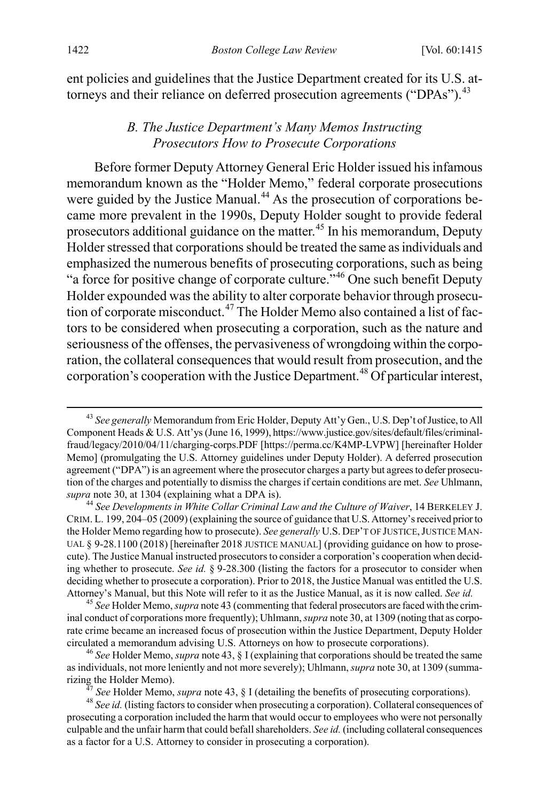ent policies and guidelines that the Justice Department created for its U.S. at-torneys and their reliance on deferred prosecution agreements ("DPAs").<sup>[43](#page-8-2)</sup>

#### <span id="page-8-1"></span><span id="page-8-0"></span>*B. The Justice Department's Many Memos Instructing Prosecutors How to Prosecute Corporations*

Before former Deputy Attorney General Eric Holder issued his infamous memorandum known as the "Holder Memo," federal corporate prosecutions were guided by the Justice Manual.<sup>[44](#page-8-3)</sup> As the prosecution of corporations became more prevalent in the 1990s, Deputy Holder sought to provide federal prosecutors additional guidance on the matter.<sup>[45](#page-8-4)</sup> In his memorandum, Deputy Holder stressed that corporations should be treated the same as individuals and emphasized the numerous benefits of prosecuting corporations, such as being "a force for positive change of corporate culture."<sup>[46](#page-8-5)</sup> One such benefit Deputy Holder expounded was the ability to alter corporate behavior through prosecution of corporate misconduct.[47](#page-8-6) The Holder Memo also contained a list of factors to be considered when prosecuting a corporation, such as the nature and seriousness of the offenses, the pervasiveness of wrongdoing within the corporation, the collateral consequences that would result from prosecution, and the corporation's cooperation with the Justice Department.<sup>[48](#page-8-7)</sup> Of particular interest,

<span id="page-8-2"></span> <sup>43</sup> *See generally* Memorandum from Eric Holder, Deputy Att'y Gen., U.S. Dep't of Justice, to All Component Heads & U.S. Att'ys (June 16, 1999), https://www.justice.gov/sites/default/files/criminalfraud/legacy/2010/04/11/charging-corps.PDF [https://perma.cc/K4MP-LVPW] [hereinafter Holder Memo] (promulgating the U.S. Attorney guidelines under Deputy Holder). A deferred prosecution agreement ("DPA") is an agreement where the prosecutor charges a party but agrees to defer prosecution of the charges and potentially to dismiss the charges if certain conditions are met. *See* Uhlmann, *supra* not[e 30,](#page-6-0) at 1304 (explaining what a DPA is). <sup>44</sup> *See Developments in White Collar Criminal Law and the Culture of Waiver*, 14 BERKELEY J.

<span id="page-8-3"></span>CRIM. L. 199, 204–05 (2009) (explaining the source of guidance that U.S. Attorney's received prior to the Holder Memo regarding how to prosecute). *See generally* U.S. DEP'T OF JUSTICE,JUSTICE MAN-UAL § 9-28.1100 (2018) [hereinafter 2018 JUSTICE MANUAL] (providing guidance on how to prosecute). The Justice Manual instructed prosecutors to consider a corporation's cooperation when deciding whether to prosecute. *See id.* § 9-28.300 (listing the factors for a prosecutor to consider when deciding whether to prosecute a corporation). Prior to 2018, the Justice Manual was entitled the U.S. Attorney's Manual, but this Note will refer to it as the Justice Manual, as it is now called. *See id.* <sup>45</sup> *See* Holder Memo, *supra* not[e 43](#page-8-0) (commenting that federal prosecutors are faced with the crim-

<span id="page-8-4"></span>inal conduct of corporations more frequently); Uhlmann, *supra* not[e 30,](#page-6-0) at 1309 (noting that as corporate crime became an increased focus of prosecution within the Justice Department, Deputy Holder circulated a memorandum advising U.S. Attorneys on how to prosecute corporations). <sup>46</sup> *See* Holder Memo, *supra* not[e 43,](#page-8-0) § I (explaining that corporations should be treated the same

<span id="page-8-5"></span>as individuals, not more leniently and not more severely); Uhlmann, *supra* not[e 30,](#page-6-0) at 1309 (summa-

<sup>&</sup>lt;sup>47</sup> See Holder Memo, *supra* note [43,](#page-8-0) § I (detailing the benefits of prosecuting corporations).<br><sup>48</sup> See id. (listing factors to consider when prosecuting a corporation). Collateral consequences of

<span id="page-8-7"></span><span id="page-8-6"></span>prosecuting a corporation included the harm that would occur to employees who were not personally culpable and the unfair harm that could befallshareholders. *See id.* (including collateral consequences as a factor for a U.S. Attorney to consider in prosecuting a corporation).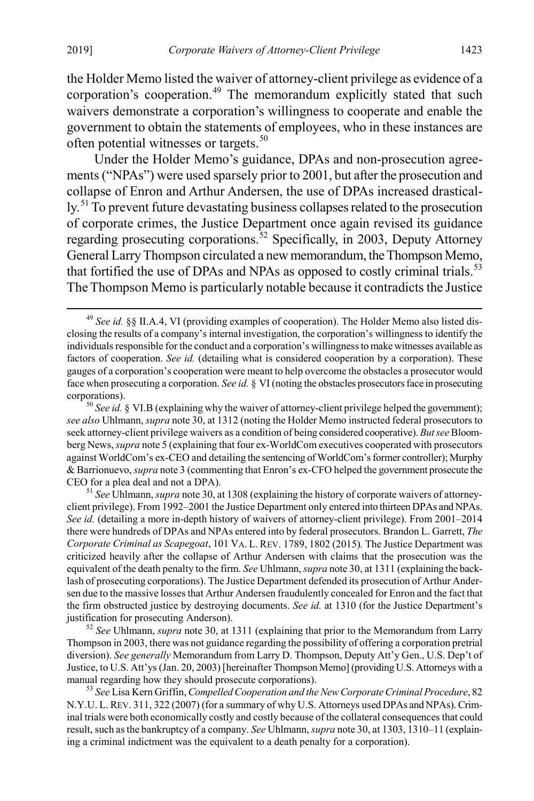the Holder Memo listed the waiver of attorney-client privilege as evidence of a corporation's cooperation.<sup>[49](#page-9-0)</sup> The memorandum explicitly stated that such waivers demonstrate a corporation's willingness to cooperate and enable the government to obtain the statements of employees, who in these instances are often potential witnesses or targets.<sup>[50](#page-9-1)</sup>

<span id="page-9-7"></span><span id="page-9-5"></span>Under the Holder Memo's guidance, DPAs and non-prosecution agreements ("NPAs") were used sparsely prior to 2001, but after the prosecution and collapse of Enron and Arthur Andersen, the use of DPAs increased drastical-ly.<sup>[51](#page-9-2)</sup> To prevent future devastating business collapses related to the prosecution of corporate crimes, the Justice Department once again revised its guidance regarding prosecuting corporations.<sup>[52](#page-9-3)</sup> Specifically, in 2003, Deputy Attorney General Larry Thompson circulated a new memorandum, the Thompson Memo, that fortified the use of DPAs and NPAs as opposed to costly criminal trials.<sup>[53](#page-9-4)</sup> The Thompson Memo is particularly notable because it contradicts the Justice

<span id="page-9-2"></span>client privilege). From 1992–2001 the Justice Department only entered into thirteen DPAs and NPAs. *See id.* (detailing a more in-depth history of waivers of attorney-client privilege). From 2001–2014 there were hundreds of DPAs and NPAs entered into by federal prosecutors. Brandon L. Garrett, *The Corporate Criminal as Scapegoat*, 101 VA. L. REV. 1789, 1802 (2015)*.* The Justice Department was criticized heavily after the collapse of Arthur Andersen with claims that the prosecution was the equivalent of the death penalty to the firm. *See* Uhlmann, *supra* not[e 30,](#page-6-0) at 1311 (explaining the backlash of prosecuting corporations). The Justice Department defended its prosecution of Arthur Andersen due to the massive losses that Arthur Andersen fraudulently concealed for Enron and the fact that the firm obstructed justice by destroying documents. *See id.* at 1310 (for the Justice Department's justification for prosecuting Anderson).

<span id="page-9-3"></span><sup>52</sup> *See* Uhlmann, *supra* note [30,](#page-6-0) at 1311 (explaining that prior to the Memorandum from Larry Thompson in 2003, there was not guidance regarding the possibility of offering a corporation pretrial diversion). *See generally* Memorandum from Larry D. Thompson, Deputy Att'y Gen., U.S. Dep't of Justice, to U.S. Att'ys (Jan. 20, 2003) [hereinafter Thompson Memo] (providing U.S. Attorneys with a manual regarding how they should prosecute corporations). <sup>53</sup> *See* Lisa Kern Griffin, *Compelled Cooperation and the New Corporate Criminal Procedure*, 82

<span id="page-9-4"></span>N.Y.U. L. REV. 311, 322 (2007) (for a summary of why U.S. Attorneys used DPAs and NPAs). Criminal trials were both economically costly and costly because of the collateral consequences that could result, such as the bankruptcy of a company. *See* Uhlmann, *supra* not[e 30,](#page-6-0) at 1303, 1310–11 (explaining a criminal indictment was the equivalent to a death penalty for a corporation).

<span id="page-9-6"></span><span id="page-9-0"></span> <sup>49</sup> *See id.* §§ II.A.4, VI (providing examples of cooperation). The Holder Memo also listed disclosing the results of a company's internal investigation, the corporation's willingness to identify the individuals responsible for the conduct and a corporation's willingness to make witnesses available as factors of cooperation. *See id.* (detailing what is considered cooperation by a corporation). These gauges of a corporation's cooperation were meant to help overcome the obstacles a prosecutor would face when prosecuting a corporation. *See id.* § VI (noting the obstacles prosecutors face in prosecuting corporations). <sup>50</sup> *See id.* § VI.B (explaining why the waiver of attorney-client privilege helped the government);

<span id="page-9-1"></span>*see also* Uhlmann, *supra* not[e 30,](#page-6-0) at 1312 (noting the Holder Memo instructed federal prosecutors to seek attorney-client privilege waivers as a condition of being considered cooperative). *But see* Bloomberg News, *supra* not[e 5](#page-2-8) (explaining that four ex-WorldCom executives cooperated with prosecutors against WorldCom's ex-CEO and detailing the sentencing of WorldCom's former controller); Murphy & Barrionuevo, *supra* not[e 3](#page-1-5) (commenting that Enron's ex-CFO helped the government prosecute the CEO for a plea deal and not a DPA). <sup>51</sup> *See* Uhlmann, *supra* not[e 30,](#page-6-0) at 1308 (explaining the history of corporate waivers of attorney-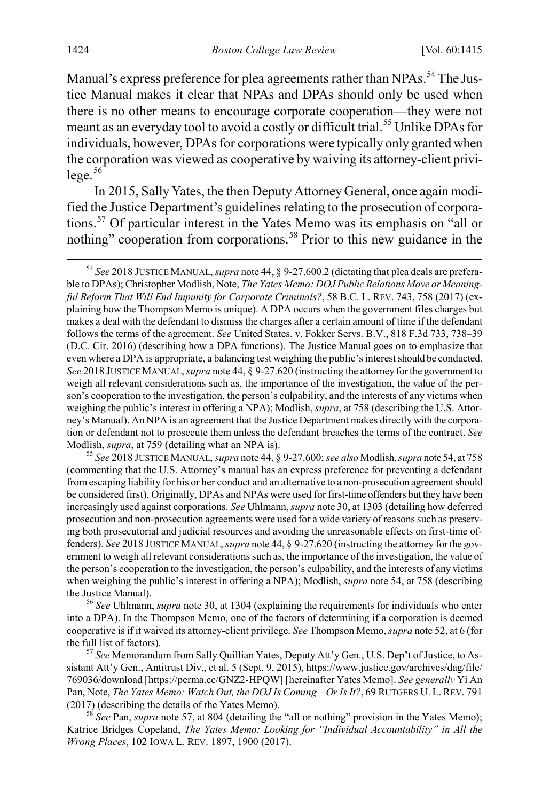<span id="page-10-0"></span>Manual's express preference for plea agreements rather than NPAs.<sup>[54](#page-10-2)</sup> The Justice Manual makes it clear that NPAs and DPAs should only be used when there is no other means to encourage corporate cooperation—they were not meant as an everyday tool to avoid a costly or difficult trial.[55](#page-10-3) Unlike DPAs for individuals, however, DPAs for corporations were typically only granted when the corporation was viewed as cooperative by waiving its attorney-client privi $lege.$ <sup>[56](#page-10-4)</sup>

<span id="page-10-1"></span>In 2015, Sally Yates, the then Deputy Attorney General, once again modified the Justice Department's guidelines relating to the prosecution of corporations.[57](#page-10-5) Of particular interest in the Yates Memo was its emphasis on "all or nothing" cooperation from corporations.<sup>[58](#page-10-6)</sup> Prior to this new guidance in the

<span id="page-10-3"></span>(commenting that the U.S. Attorney's manual has an express preference for preventing a defendant from escaping liability for his or her conduct and an alternative to a non-prosecution agreement should be considered first). Originally, DPAs and NPAs were used for first-time offenders but they have been increasingly used against corporations. *See* Uhlmann, *supra* not[e 30,](#page-6-0) at 1303 (detailing how deferred prosecution and non-prosecution agreements were used for a wide variety of reasons such as preserving both prosecutorial and judicial resources and avoiding the unreasonable effects on first-time offenders). *See* 2018 JUSTICE MANUAL, *supra* not[e 44,](#page-8-1) § 9-27.620 (instructing the attorney for the government to weigh all relevant considerations such as, the importance of the investigation, the value of the person's cooperation to the investigation, the person's culpability, and the interests of any victims when weighing the public's interest in offering a NPA); Modlish, *supra* not[e 54,](#page-10-0) at 758 (describing the Justice Manual). <sup>56</sup> *See* Uhlmann, *supra* not[e 30,](#page-6-0) at 1304 (explaining the requirements for individuals who enter

<span id="page-10-4"></span>into a DPA). In the Thompson Memo, one of the factors of determining if a corporation is deemed cooperative is if it waived its attorney-client privilege. *See* Thompson Memo, *supra* not[e 52,](#page-9-5) at 6 (for the full list of factors). <sup>57</sup> *See* Memorandum from Sally Quillian Yates, Deputy Att'y Gen., U.S. Dep't of Justice, to As-

<span id="page-10-5"></span>sistant Att'y Gen., Antitrust Div., et al. 5 (Sept. 9, 2015), https://www.justice.gov/archives/dag/file/ 769036/download [https://perma.cc/GNZ2-HPQW] [hereinafter Yates Memo]. *See generally* Yi An Pan, Note, *The Yates Memo: Watch Out, the DOJ Is Coming—Or Is It?*, 69 RUTGERS U. L. REV. 791 (2017) (describing the details of the Yates Memo). <sup>58</sup> *See* Pan, *supra* note [57,](#page-10-1) at 804 (detailing the "all or nothing" provision in the Yates Memo);

<span id="page-10-6"></span>Katrice Bridges Copeland, *The Yates Memo: Looking for "Individual Accountability" in All the Wrong Places*, 102 IOWA L. REV. 1897, 1900 (2017).

<span id="page-10-7"></span><span id="page-10-2"></span> <sup>54</sup> *See* 2018 JUSTICE MANUAL, *supra* not[e 44,](#page-8-1) § 9-27.600.2 (dictating that plea deals are preferable to DPAs); Christopher Modlish, Note, *The Yates Memo: DOJ Public Relations Move or Meaningful Reform That Will End Impunity for Corporate Criminals?*, 58 B.C. L. REV. 743, 758 (2017) (explaining how the Thompson Memo is unique). A DPA occurs when the government files charges but makes a deal with the defendant to dismiss the charges after a certain amount of time if the defendant follows the terms of the agreement. *See* United States. v. Fokker Servs. B.V., 818 F.3d 733, 738–39 (D.C. Cir. 2016) (describing how a DPA functions). The Justice Manual goes on to emphasize that even where a DPA is appropriate, a balancing test weighing the public's interest should be conducted. *See* 2018 JUSTICE MANUAL, *supra* not[e 44,](#page-8-1) § 9-27.620 (instructing the attorney for the government to weigh all relevant considerations such as, the importance of the investigation, the value of the person's cooperation to the investigation, the person's culpability, and the interests of any victims when weighing the public's interest in offering a NPA); Modlish, *supra*, at 758 (describing the U.S. Attorney's Manual). An NPA is an agreement that the Justice Department makes directly with the corporation or defendant not to prosecute them unless the defendant breaches the terms of the contract. *See*  Modlish, *supra*, at 759 (detailing what an NPA is). <sup>55</sup> *See* 2018 JUSTICE MANUAL, *supra* not[e 44,](#page-8-1) § 9-27.600; *see also* Modlish,*supra* not[e 54,](#page-10-0) at 758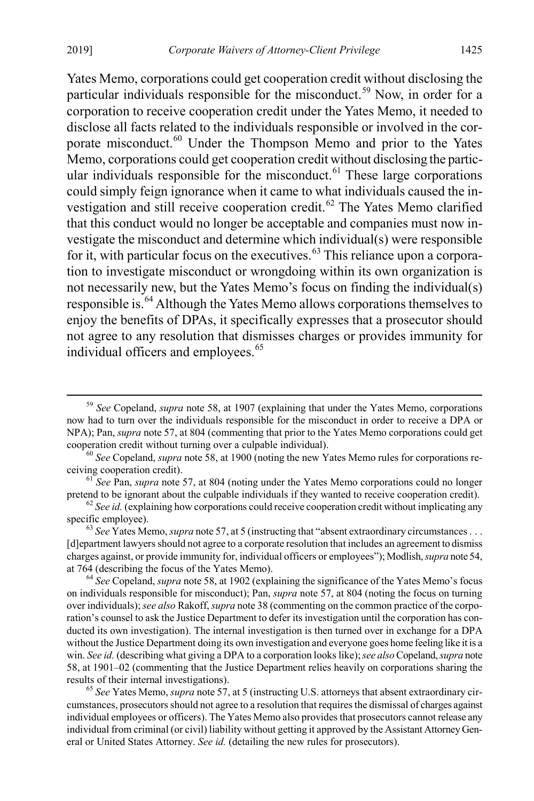Yates Memo, corporations could get cooperation credit without disclosing the particular individuals responsible for the misconduct.<sup>[59](#page-11-0)</sup> Now, in order for a corporation to receive cooperation credit under the Yates Memo, it needed to disclose all facts related to the individuals responsible or involved in the cor-porate misconduct.<sup>[60](#page-11-1)</sup> Under the Thompson Memo and prior to the Yates Memo, corporations could get cooperation credit without disclosing the particular individuals responsible for the misconduct. $61$  These large corporations could simply feign ignorance when it came to what individuals caused the in-vestigation and still receive cooperation credit.<sup>[62](#page-11-3)</sup> The Yates Memo clarified that this conduct would no longer be acceptable and companies must now investigate the misconduct and determine which individual(s) were responsible for it, with particular focus on the executives.<sup>[63](#page-11-4)</sup> This reliance upon a corporation to investigate misconduct or wrongdoing within its own organization is not necessarily new, but the Yates Memo's focus on finding the individual(s) responsible is.<sup>[64](#page-11-5)</sup> Although the Yates Memo allows corporations themselves to enjoy the benefits of DPAs, it specifically expresses that a prosecutor should not agree to any resolution that dismisses charges or provides immunity for individual officers and employees.<sup>[65](#page-11-6)</sup>

<span id="page-11-2"></span><sup>61</sup> *See* Pan, *supra* not[e 57,](#page-10-1) at 804 (noting under the Yates Memo corporations could no longer

<span id="page-11-3"></span>pretend to be ignorant about the culpable individuals if they wanted to receive cooperation credit).<br>
<sup>62</sup> *See id.* (explaining how corporations could receive cooperation credit without implicating any specific employee).

<span id="page-11-4"></span> $63$  *See* Yates Memo, *supra* not[e 57,](#page-10-1) at 5 (instructing that "absent extraordinary circumstances . . . [d]epartment lawyers should not agree to a corporate resolution that includes an agreement to dismiss charges against, or provide immunity for, individual officers or employees"); Modlish,*supra* not[e 54,](#page-10-0) at 764 (describing the focus of the Yates Memo). <sup>64</sup> *See* Copeland, *supra* not[e 58,](#page-10-7) at 1902 (explaining the significance of the Yates Memo's focus

<span id="page-11-5"></span>on individuals responsible for misconduct); Pan, *supra* not[e 57,](#page-10-1) at 804 (noting the focus on turning over individuals); *see also* Rakoff, *supra* not[e 38](#page-6-11) (commenting on the common practice of the corporation's counsel to ask the Justice Department to defer its investigation until the corporation has conducted its own investigation). The internal investigation is then turned over in exchange for a DPA without the Justice Department doing its own investigation and everyone goes home feeling like it is a win. *See id.* (describing what giving a DPA to a corporation looks like);*see also* Copeland, *supra* note [58,](#page-10-7) at 1901–02 (commenting that the Justice Department relies heavily on corporations sharing the results of their internal investigations). <sup>65</sup> *See* Yates Memo, *supra* not[e 57,](#page-10-1) at 5 (instructing U.S. attorneys that absent extraordinary cir-

<span id="page-11-6"></span>cumstances, prosecutors should not agree to a resolution that requires the dismissal of charges against individual employees or officers). The Yates Memo also provides that prosecutors cannot release any individual from criminal (or civil) liability without getting it approved by the Assistant Attorney General or United States Attorney. *See id.* (detailing the new rules for prosecutors).

<span id="page-11-0"></span> <sup>59</sup> *See* Copeland, *supra* not[e 58,](#page-10-7) at 1907 (explaining that under the Yates Memo, corporations now had to turn over the individuals responsible for the misconduct in order to receive a DPA or NPA); Pan, *supra* note [57,](#page-10-1) at 804 (commenting that prior to the Yates Memo corporations could get

<span id="page-11-1"></span>cooperation credit without turning over a culpable individual).<br><sup>60</sup> *See* Copeland, *supra* not[e 58,](#page-10-7) at 1900 (noting the new Yates Memo rules for corporations receiving cooperation credit).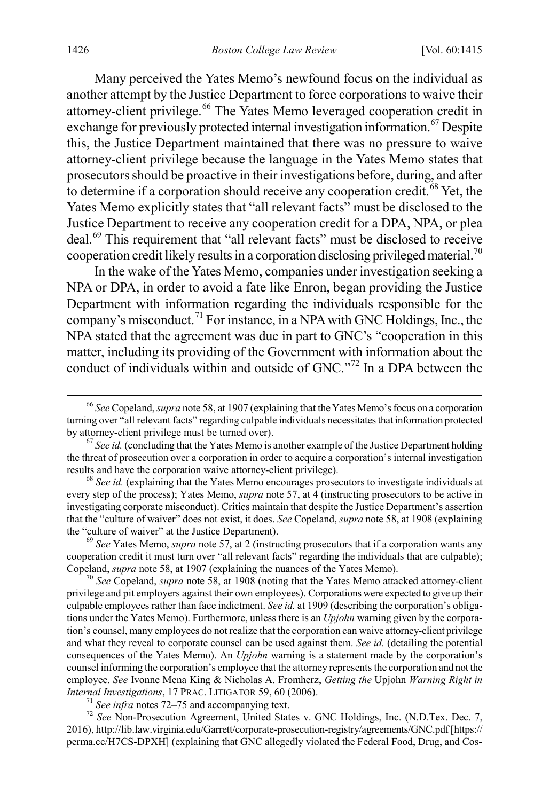Many perceived the Yates Memo's newfound focus on the individual as another attempt by the Justice Department to force corporations to waive their attorney-client privilege.<sup>[66](#page-12-1)</sup> The Yates Memo leveraged cooperation credit in exchange for previously protected internal investigation information.<sup>[67](#page-12-2)</sup> Despite this, the Justice Department maintained that there was no pressure to waive attorney-client privilege because the language in the Yates Memo states that prosecutors should be proactive in their investigations before, during, and after to determine if a corporation should receive any cooperation credit.<sup>[68](#page-12-3)</sup> Yet, the Yates Memo explicitly states that "all relevant facts" must be disclosed to the Justice Department to receive any cooperation credit for a DPA, NPA, or plea deal.[69](#page-12-4) This requirement that "all relevant facts" must be disclosed to receive cooperation credit likely results in a corporation disclosing privileged material.<sup>[70](#page-12-5)</sup>

In the wake of the Yates Memo, companies under investigation seeking a NPA or DPA, in order to avoid a fate like Enron, began providing the Justice Department with information regarding the individuals responsible for the company's misconduct.<sup>[71](#page-12-6)</sup> For instance, in a NPA with GNC Holdings, Inc., the NPA stated that the agreement was due in part to GNC's "cooperation in this matter, including its providing of the Government with information about the conduct of individuals within and outside of GNC."<sup>[72](#page-12-7)</sup> In a DPA between the

<span id="page-12-3"></span>every step of the process); Yates Memo, *supra* note [57,](#page-10-1) at 4 (instructing prosecutors to be active in investigating corporate misconduct). Critics maintain that despite the Justice Department's assertion that the "culture of waiver" does not exist, it does. *See* Copeland, *supra* not[e 58,](#page-10-7) at 1908 (explaining the "culture of waiver" at the Justice Department).<br><sup>69</sup> *See* Yates Memo, *supra* not[e 57,](#page-10-1) at 2 (instructing prosecutors that if a corporation wants any

<span id="page-12-4"></span>cooperation credit it must turn over "all relevant facts" regarding the individuals that are culpable); Copeland, *supra* not[e 58,](#page-10-7) at 1907 (explaining the nuances of the Yates Memo). 70 *See* Copeland, *supra* note [58,](#page-10-7) at 1908 (noting that the Yates Memo attacked attorney-client

<span id="page-12-5"></span>privilege and pit employers against their own employees). Corporations were expected to give up their culpable employees rather than face indictment. *See id.* at 1909 (describing the corporation's obligations under the Yates Memo). Furthermore, unless there is an *Upjohn* warning given by the corporation's counsel, many employees do not realize that the corporation can waive attorney-client privilege and what they reveal to corporate counsel can be used against them. *See id.* (detailing the potential consequences of the Yates Memo). An *Upjohn* warning is a statement made by the corporation's counsel informing the corporation's employee that the attorney represents the corporation and not the employee. *See* Ivonne Mena King & Nicholas A. Fromherz, *Getting the* Upjohn *Warning Right in Internal Investigations*, 17 PRAC. LITIGATOR 59, 60 (2006).<br><sup>71</sup> *See infra* note[s 72–](#page-12-0)[75](#page-13-0) and accompanying text.<br><sup>72</sup> *See* Non-Prosecution Agreement, United States v. GNC Holdings, Inc. (N.D.Tex. Dec. 7,

<span id="page-12-7"></span><span id="page-12-6"></span>2016), http://lib.law.virginia.edu/Garrett/corporate-prosecution-registry/agreements/GNC.pdf [https:// perma.cc/H7CS-DPXH] (explaining that GNC allegedly violated the Federal Food, Drug, and Cos-

<span id="page-12-1"></span><span id="page-12-0"></span> <sup>66</sup> *See* Copeland, *supra* not[e 58,](#page-10-7) at 1907 (explaining that the Yates Memo's focus on a corporation turning over "all relevant facts" regarding culpable individuals necessitates that information protected by attorney-client privilege must be turned over). <sup>67</sup> *See id.* (concluding that the Yates Memo is another example of the Justice Department holding

<span id="page-12-2"></span>the threat of prosecution over a corporation in order to acquire a corporation's internal investigation results and have the corporation waive attorney-client privilege). <sup>68</sup> *See id.* (explaining that the Yates Memo encourages prosecutors to investigate individuals at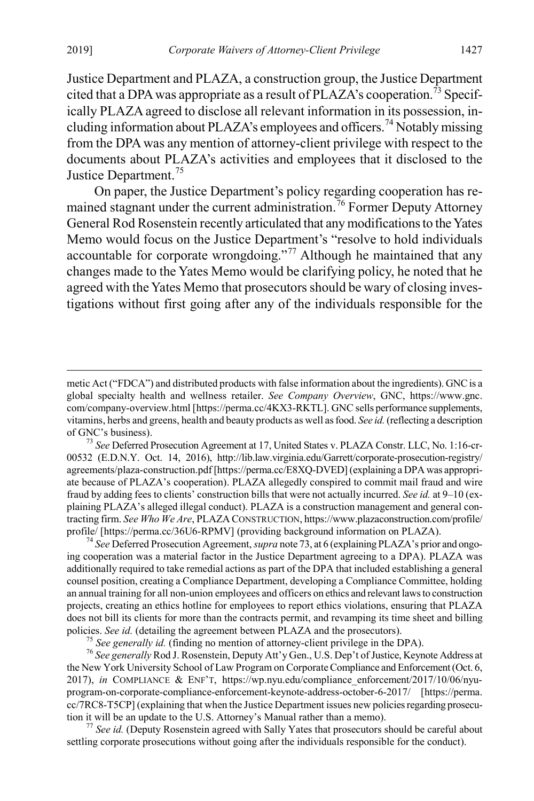<span id="page-13-1"></span>Justice Department and PLAZA, a construction group, the Justice Department cited that a DPA was appropriate as a result of  $PLAZA$ 's cooperation.<sup>[73](#page-13-2)</sup> Specifically PLAZA agreed to disclose all relevant information in its possession, in-cluding information about PLAZA's employees and officers.<sup>[74](#page-13-3)</sup> Notably missing from the DPA was any mention of attorney-client privilege with respect to the documents about PLAZA's activities and employees that it disclosed to the Justice Department.<sup>[75](#page-13-4)</sup>

<span id="page-13-0"></span>On paper, the Justice Department's policy regarding cooperation has remained stagnant under the current administration.[76](#page-13-5) Former Deputy Attorney General Rod Rosenstein recently articulated that any modifications to the Yates Memo would focus on the Justice Department's "resolve to hold individuals accountable for corporate wrongdoing."<sup>[77](#page-13-6)</sup> Although he maintained that any changes made to the Yates Memo would be clarifying policy, he noted that he agreed with the Yates Memo that prosecutors should be wary of closing investigations without first going after any of the individuals responsible for the

<span id="page-13-3"></span>ing cooperation was a material factor in the Justice Department agreeing to a DPA). PLAZA was additionally required to take remedial actions as part of the DPA that included establishing a general counsel position, creating a Compliance Department, developing a Compliance Committee, holding an annual training for all non-union employees and officers on ethics and relevant laws to construction projects, creating an ethics hotline for employees to report ethics violations, ensuring that PLAZA does not bill its clients for more than the contracts permit, and revamping its time sheet and billing policies. See id. (detailing the agreement between PLAZA and the prosecutors).<br><sup>75</sup> See generally id. (finding no mention of attorney-client privilege in the DPA).<br><sup>76</sup> See generally Rod J. Rosenstein, Deputy Att'y Gen., U

<span id="page-13-5"></span><span id="page-13-4"></span>the New York University School of Law Program on Corporate Compliance and Enforcement (Oct. 6, 2017), *in* COMPLIANCE & ENF'T, https://wp.nyu.edu/compliance\_enforcement/2017/10/06/nyuprogram-on-corporate-compliance-enforcement-keynote-address-october-6-2017/ [https://perma. cc/7RC8-T5CP] (explaining that when the Justice Department issues new policies regarding prosecution it will be an update to the U.S. Attorney's Manual rather than a memo).<br><sup>77</sup> *See id.* (Deputy Rosenstein agreed with Sally Yates that prosecutors should be careful about

<span id="page-13-6"></span>settling corporate prosecutions without going after the individuals responsible for the conduct).

metic Act ("FDCA") and distributed products with false information about the ingredients). GNC is a global specialty health and wellness retailer. *See Company Overview*, GNC, https://www.gnc. com/company-overview.html [https://perma.cc/4KX3-RKTL]. GNC sells performance supplements, vitamins, herbs and greens, health and beauty products as well as food. *See id.*(reflecting a description of GNC's business). <sup>73</sup> *See* Deferred Prosecution Agreement at 17, United States v. PLAZA Constr. LLC, No. 1:16-cr-

<span id="page-13-2"></span><sup>00532 (</sup>E.D.N.Y. Oct. 14, 2016), http://lib.law.virginia.edu/Garrett/corporate-prosecution-registry/ agreements/plaza-construction.pdf [https://perma.cc/E8XQ-DVED] (explaining a DPA was appropriate because of PLAZA's cooperation). PLAZA allegedly conspired to commit mail fraud and wire fraud by adding fees to clients' construction bills that were not actually incurred. *See id.* at 9–10 (explaining PLAZA's alleged illegal conduct). PLAZA is a construction management and general contracting firm. *See Who We Are*, PLAZA CONSTRUCTION, https://www.plazaconstruction.com/profile/ profile/ [https://perma.cc/36U6-RPMV] (providing background information on PLAZA).<br><sup>74</sup> *See* Deferred Prosecution Agreement, *supra* not[e 73](#page-13-1), at 6 (explaining PLAZA's prior and ongo-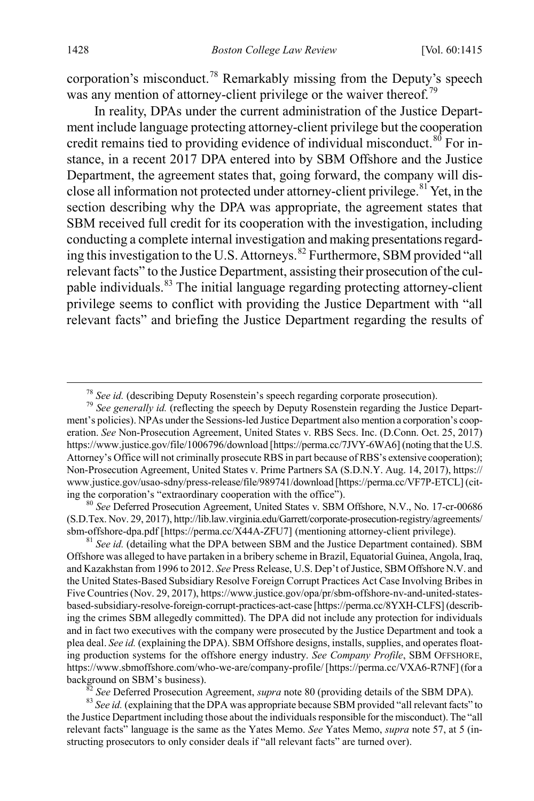corporation's misconduct.<sup>[78](#page-14-1)</sup> Remarkably missing from the Deputy's speech was any mention of attorney-client privilege or the waiver thereof.<sup>[79](#page-14-2)</sup>

<span id="page-14-7"></span><span id="page-14-0"></span>In reality, DPAs under the current administration of the Justice Department include language protecting attorney-client privilege but the cooperation credit remains tied to providing evidence of individual misconduct. $80$  For instance, in a recent 2017 DPA entered into by SBM Offshore and the Justice Department, the agreement states that, going forward, the company will disclose all information not protected under attorney-client privilege.[81](#page-14-4) Yet, in the section describing why the DPA was appropriate, the agreement states that SBM received full credit for its cooperation with the investigation, including conducting a complete internal investigation and making presentations regarding this investigation to the U.S. Attorneys.[82](#page-14-5) Furthermore, SBM provided "all relevant facts" to the Justice Department, assisting their prosecution of the culpable individuals.[83](#page-14-6) The initial language regarding protecting attorney-client privilege seems to conflict with providing the Justice Department with "all relevant facts" and briefing the Justice Department regarding the results of

<span id="page-14-3"></span>(S.D.Tex. Nov. 29, 2017), http://lib.law.virginia.edu/Garrett/corporate-prosecution-registry/agreements/ sbm-offshore-dpa.pdf [https://perma.cc/X44A-ZFU7] (mentioning attorney-client privilege). <sup>81</sup> *See id.* (detailing what the DPA between SBM and the Justice Department contained). SBM

<span id="page-14-4"></span>Offshore was alleged to have partaken in a bribery scheme in Brazil, Equatorial Guinea, Angola, Iraq, and Kazakhstan from 1996 to 2012. *See* Press Release, U.S. Dep't of Justice, SBM Offshore N.V. and the United States-Based Subsidiary Resolve Foreign Corrupt Practices Act Case Involving Bribes in Five Countries(Nov. 29, 2017), https://www.justice.gov/opa/pr/sbm-offshore-nv-and-united-statesbased-subsidiary-resolve-foreign-corrupt-practices-act-case [https://perma.cc/8YXH-CLFS] (describing the crimes SBM allegedly committed). The DPA did not include any protection for individuals and in fact two executives with the company were prosecuted by the Justice Department and took a plea deal. *See id.* (explaining the DPA). SBM Offshore designs, installs, supplies, and operates floating production systems for the offshore energy industry. *See Company Profile*, SBM OFFSHORE, https://www.sbmoffshore.com/who-we-are/company-profile/ [https://perma.cc/VXA6-R7NF] (for a background on SBM's business).<br><sup>82</sup> See Deferred Prosecution Agreement, *supra* not[e 80](#page-14-0) (providing details of the SBM DPA).<br><sup>83</sup> See id. (explaining that the DPA was appropriate because SBM provided "all relevant facts" t

<span id="page-14-6"></span><span id="page-14-5"></span>the Justice Department including those about the individuals responsible for the misconduct). The "all relevant facts" language is the same as the Yates Memo. *See* Yates Memo, *supra* note [57,](#page-10-1) at 5 (instructing prosecutors to only consider deals if "all relevant facts" are turned over).

<sup>&</sup>lt;sup>78</sup> *See id.* (describing Deputy Rosenstein's speech regarding corporate prosecution).<br><sup>79</sup> *See generally id.* (reflecting the speech by Deputy Rosenstein regarding the Justice Depart-

<span id="page-14-2"></span><span id="page-14-1"></span>ment's policies). NPAs under the Sessions-led Justice Department also mention a corporation's cooperation. *See* Non-Prosecution Agreement, United States v. RBS Secs. Inc. (D.Conn. Oct. 25, 2017) https://www.justice.gov/file/1006796/download [https://perma.cc/7JVY-6WA6] (noting that the U.S. Attorney's Office will not criminally prosecute RBS in part because of RBS's extensive cooperation); Non-Prosecution Agreement, United States v. Prime Partners SA (S.D.N.Y. Aug. 14, 2017), https:// www.justice.gov/usao-sdny/press-release/file/989741/download [https://perma.cc/VF7P-ETCL] (citing the corporation's "extraordinary cooperation with the office"). <sup>80</sup> *See* Deferred Prosecution Agreement, United States v. SBM Offshore, N.V., No. 17-cr-00686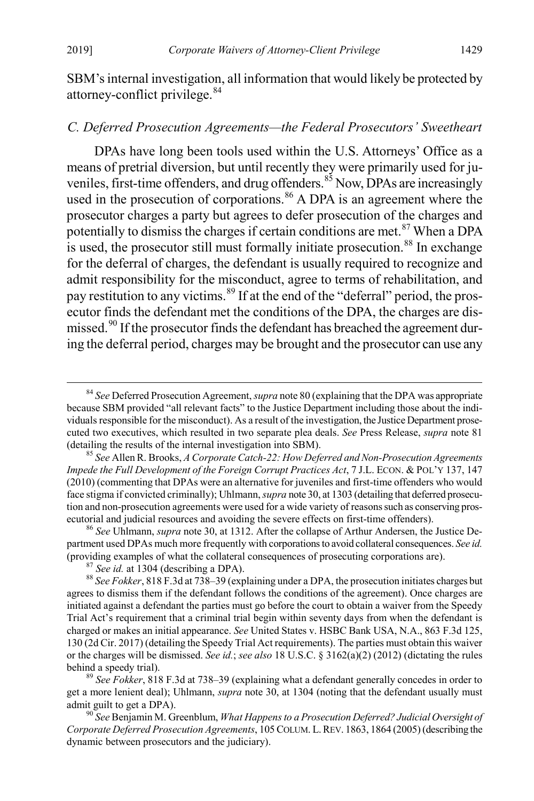<span id="page-15-0"></span>SBM's internal investigation, all information that would likely be protected by attorney-conflict privilege.[84](#page-15-2)

#### *C. Deferred Prosecution Agreements—the Federal Prosecutors' Sweetheart*

<span id="page-15-1"></span>DPAs have long been tools used within the U.S. Attorneys' Office as a means of pretrial diversion, but until recently they were primarily used for juveniles, first-time offenders, and drug offenders. $85$  Now, DPAs are increasingly used in the prosecution of corporations.<sup>[86](#page-15-4)</sup> A DPA is an agreement where the prosecutor charges a party but agrees to defer prosecution of the charges and potentially to dismiss the charges if certain conditions are met.<sup>[87](#page-15-5)</sup> When a DPA  $\overline{\text{a}}$  is used, the prosecutor still must formally initiate prosecution.<sup>88</sup> In exchange for the deferral of charges, the defendant is usually required to recognize and admit responsibility for the misconduct, agree to terms of rehabilitation, and pay restitution to any victims.<sup>[89](#page-15-7)</sup> If at the end of the "deferral" period, the prosecutor finds the defendant met the conditions of the DPA, the charges are dis-missed.<sup>[90](#page-15-8)</sup> If the prosecutor finds the defendant has breached the agreement during the deferral period, charges may be brought and the prosecutor can use any

<span id="page-15-7"></span>get a more lenient deal); Uhlmann, *supra* note [30,](#page-6-0) at 1304 (noting that the defendant usually must admit guilt to get a DPA).<br><sup>90</sup> *See* Benjamin M. Greenblum, *What Happens to a Prosecution Deferred? Judicial Oversight of* 

<span id="page-15-2"></span> <sup>84</sup> *See* Deferred Prosecution Agreement, *supra* not[e 80](#page-14-0) (explaining that the DPA was appropriate because SBM provided "all relevant facts" to the Justice Department including those about the individuals responsible for the misconduct). As a result of the investigation, the Justice Department prosecuted two executives, which resulted in two separate plea deals. *See* Press Release, *supra* note [81](#page-14-7) (detailing the results of the internal investigation into SBM). <sup>85</sup> *See* Allen R. Brooks, *A Corporate Catch-22: How Deferred and Non-Prosecution Agreements* 

<span id="page-15-3"></span>*Impede the Full Development of the Foreign Corrupt Practices Act*, 7 J.L. ECON. & POL'Y 137, 147 (2010) (commenting that DPAs were an alternative for juveniles and first-time offenders who would face stigma if convicted criminally); Uhlmann, *supra* no[te 30](#page-6-0), at 1303 (detailing that deferred prosecution and non-prosecution agreements were used for a wide variety of reasons such as conserving prosecutorial and judicial resources and avoiding the severe effects on first-time offenders). <sup>86</sup> *See* Uhlmann, *supra* not[e 30,](#page-6-0) at 1312. After the collapse of Arthur Andersen, the Justice De-

<span id="page-15-4"></span>partment used DPAs much more frequently with corporations to avoid collateral consequences. *See id.* (providing examples of what the collateral consequences of prosecuting corporations are).<br><sup>87</sup> See id. at 1304 (describing a DPA).<br><sup>88</sup> See Fokker, 818 F.3d at 738–39 (explaining under a DPA, the prosecution initiates char

<span id="page-15-6"></span><span id="page-15-5"></span>agrees to dismiss them if the defendant follows the conditions of the agreement). Once charges are initiated against a defendant the parties must go before the court to obtain a waiver from the Speedy Trial Act's requirement that a criminal trial begin within seventy days from when the defendant is charged or makes an initial appearance. *See* United States v. HSBC Bank USA, N.A., 863 F.3d 125, 130 (2d Cir. 2017) (detailing the Speedy Trial Act requirements). The parties must obtain this waiver or the charges will be dismissed. *See id.*; *see also* 18 U.S.C. § 3162(a)(2) (2012) (dictating the rules behind a speedy trial). <sup>89</sup> *See Fokker*, 818 F.3d at 738–39 (explaining what a defendant generally concedes in order to

<span id="page-15-8"></span>*Corporate Deferred Prosecution Agreements*, 105 COLUM. L. REV. 1863, 1864 (2005) (describing the dynamic between prosecutors and the judiciary).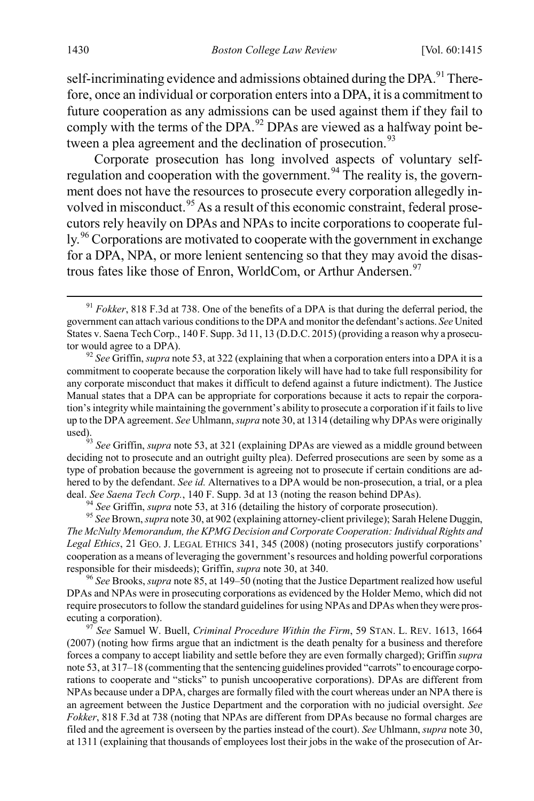self-incriminating evidence and admissions obtained during the DPA. $91$ <sup>91</sup> Therefore, once an individual or corporation enters into a DPA, it is a commitment to future cooperation as any admissions can be used against them if they fail to comply with the terms of the DPA. $92$  DPAs are viewed as a halfway point be-tween a plea agreement and the declination of prosecution.<sup>[93](#page-16-2)</sup>

Corporate prosecution has long involved aspects of voluntary self-regulation and cooperation with the government.<sup>[94](#page-16-3)</sup> The reality is, the government does not have the resources to prosecute every corporation allegedly in-volved in misconduct.<sup>[95](#page-16-4)</sup> As a result of this economic constraint, federal prosecutors rely heavily on DPAs and NPAs to incite corporations to cooperate ful-ly.<sup>[96](#page-16-5)</sup> Corporations are motivated to cooperate with the government in exchange for a DPA, NPA, or more lenient sentencing so that they may avoid the disas-trous fates like those of Enron, WorldCom, or Arthur Andersen.<sup>[97](#page-16-6)</sup>

<span id="page-16-2"></span>deciding not to prosecute and an outright guilty plea). Deferred prosecutions are seen by some as a type of probation because the government is agreeing not to prosecute if certain conditions are adhered to by the defendant. *See id.* Alternatives to a DPA would be non-prosecution, a trial, or a plea deal. See Saena Tech Corp., 140 F. Supp. 3d at 13 (noting the reason behind DPAs).<br><sup>94</sup> See Griffin, *supra* not[e 53,](#page-9-6) at 316 (detailing the history of corporate prosecution).<br><sup>95</sup> See Brown, *supra* not[e 30,](#page-6-0) at 902 (explai

<span id="page-16-4"></span><span id="page-16-3"></span>*The McNulty Memorandum, the KPMG Decision and Corporate Cooperation: Individual Rights and Legal Ethics*, 21 GEO. J. LEGAL ETHICS 341, 345 (2008) (noting prosecutors justify corporations' cooperation as a means of leveraging the government's resources and holding powerful corporations responsible for their misdeeds); Griffin, *supra* not[e 30,](#page-6-0) at 340. <sup>96</sup> *See* Brooks, *supra* not[e 85,](#page-15-1) at 149–50 (noting that the Justice Department realized how useful

<span id="page-16-5"></span>DPAs and NPAs were in prosecuting corporations as evidenced by the Holder Memo, which did not require prosecutors to follow the standard guidelines for using NPAs and DPAs when they were prosecuting a corporation). <sup>97</sup> *See* Samuel W. Buell, *Criminal Procedure Within the Firm*, 59 STAN. L. REV. 1613, 1664

<span id="page-16-6"></span>(2007) (noting how firms argue that an indictment is the death penalty for a business and therefore forces a company to accept liability and settle before they are even formally charged); Griffin *supra*  not[e 53,](#page-9-6) at 317–18 (commenting that the sentencing guidelines provided "carrots" to encourage corporations to cooperate and "sticks" to punish uncooperative corporations). DPAs are different from NPAs because under a DPA, charges are formally filed with the court whereas under an NPA there is an agreement between the Justice Department and the corporation with no judicial oversight. *See Fokker*, 818 F.3d at 738 (noting that NPAs are different from DPAs because no formal charges are filed and the agreement is overseen by the parties instead of the court). *See* Uhlmann, *supra* not[e 30,](#page-6-0) at 1311 (explaining that thousands of employees lost their jobs in the wake of the prosecution of Ar-

<span id="page-16-7"></span><span id="page-16-0"></span><sup>&</sup>lt;sup>91</sup> *Fokker*, 818 F.3d at 738. One of the benefits of a DPA is that during the deferral period, the government can attach various conditions to the DPA and monitor the defendant's actions. *See* United States v. Saena Tech Corp., 140 F. Supp. 3d 11, 13 (D.D.C. 2015) (providing a reason why a prosecutor would agree to a DPA). <sup>92</sup> *See* Griffin, *supra* not[e 53,](#page-9-6) at 322 (explaining that when a corporation enters into a DPA it is a

<span id="page-16-1"></span>commitment to cooperate because the corporation likely will have had to take full responsibility for any corporate misconduct that makes it difficult to defend against a future indictment). The Justice Manual states that a DPA can be appropriate for corporations because it acts to repair the corporation's integrity while maintaining the government's ability to prosecute a corporation if it fails to live up to the DPA agreement. *See* Uhlmann, *supra* not[e 30,](#page-6-0) at 1314 (detailing why DPAs were originally used).93 *See* Griffin, *supra* not[e 53,](#page-9-6) at 321 (explaining DPAs are viewed as a middle ground between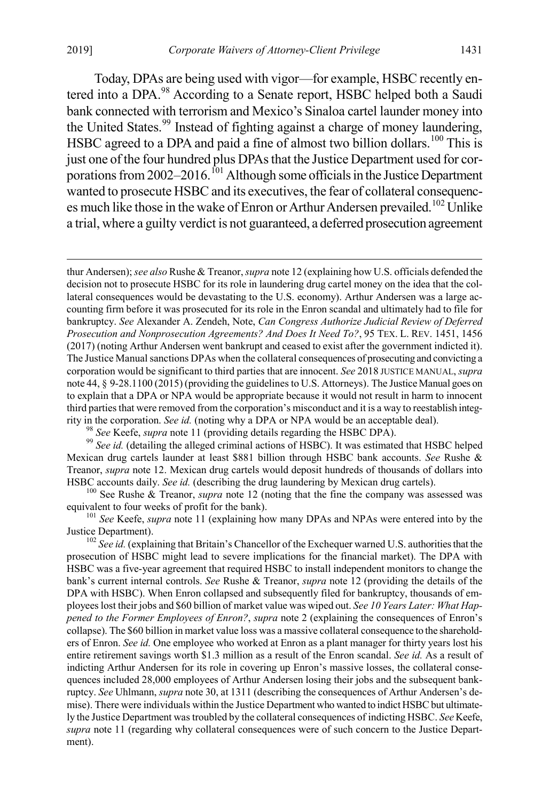Today, DPAs are being used with vigor—for example, HSBC recently entered into a DPA.[98](#page-17-0) According to a Senate report, HSBC helped both a Saudi bank connected with terrorism and Mexico's Sinaloa cartel launder money into the United States.<sup>[99](#page-17-1)</sup> Instead of fighting against a charge of money laundering, HSBC agreed to a DPA and paid a fine of almost two billion dollars.<sup>[100](#page-17-2)</sup> This is just one of the four hundred plus DPAs that the Justice Department used for corporations from  $2002-2016$ .<sup>[101](#page-17-3)</sup> Although some officials in the Justice Department wanted to prosecute HSBC and its executives, the fear of collateral consequenc-es much like those in the wake of Enron or Arthur Andersen prevailed.<sup>[102](#page-17-4)</sup> Unlike a trial, where a guilty verdict is not guaranteed, a deferred prosecution agreement

 thur Andersen); *see also* Rushe & Treanor, *supra* not[e 12](#page-3-8) (explaining how U.S. officials defended the decision not to prosecute HSBC for its role in laundering drug cartel money on the idea that the collateral consequences would be devastating to the U.S. economy). Arthur Andersen was a large accounting firm before it was prosecuted for its role in the Enron scandal and ultimately had to file for bankruptcy. *See* Alexander A. Zendeh, Note, *Can Congress Authorize Judicial Review of Deferred Prosecution and Nonprosecution Agreements? And Does It Need To?*, 95 TEX. L. REV. 1451, 1456 (2017) (noting Arthur Andersen went bankrupt and ceased to exist after the government indicted it). The Justice Manual sanctions DPAs when the collateral consequences of prosecuting and convicting a corporation would be significant to third parties that are innocent. *See* 2018 JUSTICE MANUAL, *supra* not[e 44,](#page-8-1) § 9-28.1100 (2015) (providing the guidelines to U.S. Attorneys). The Justice Manual goes on to explain that a DPA or NPA would be appropriate because it would not result in harm to innocent third parties that were removed from the corporation's misconduct and it is a way to reestablish integrity in the corporation. *See id.* (noting why a DPA or NPA would be an acceptable deal).<br><sup>98</sup> *See* Keefe, *supra* not[e 11](#page-3-1) (providing details regarding the HSBC DPA).<br><sup>99</sup> *See id.* (detailing the alleged criminal actions

<span id="page-17-1"></span><span id="page-17-0"></span>Mexican drug cartels launder at least \$881 billion through HSBC bank accounts. *See* Rushe & Treanor, *supra* note [12.](#page-3-8) Mexican drug cartels would deposit hundreds of thousands of dollars into

<span id="page-17-2"></span>HSBC accounts daily. *See id.* (describing the drug laundering by Mexican drug cartels). <sup>100</sup> See Rushe & Treanor, *supra* note [12](#page-3-8) (noting that the fine the company was assessed was equivalent to four weeks of profit for

<span id="page-17-3"></span><sup>101</sup> See Keefe, *supra* note [11](#page-3-1) (explaining how many DPAs and NPAs were entered into by the Justice Department). <sup>102</sup> *See id.* (explaining that Britain's Chancellor of the Exchequer warned U.S. authorities that the

<span id="page-17-4"></span>prosecution of HSBC might lead to severe implications for the financial market). The DPA with HSBC was a five-year agreement that required HSBC to install independent monitors to change the bank's current internal controls. *See* Rushe & Treanor, *supra* not[e 12](#page-3-8) (providing the details of the DPA with HSBC). When Enron collapsed and subsequently filed for bankruptcy, thousands of employees lost their jobs and \$60 billion of market value was wiped out. *See 10 Years Later: What Happened to the Former Employees of Enron?*, *supra* note [2](#page-1-4) (explaining the consequences of Enron's collapse). The \$60 billion in market value loss was a massive collateral consequence to the shareholders of Enron. *See id.* One employee who worked at Enron as a plant manager for thirty years lost his entire retirement savings worth \$1.3 million as a result of the Enron scandal. *See id.* As a result of indicting Arthur Andersen for its role in covering up Enron's massive losses, the collateral consequences included 28,000 employees of Arthur Andersen losing their jobs and the subsequent bankruptcy. *See* Uhlmann, *supra* not[e 30,](#page-6-0) at 1311 (describing the consequences of Arthur Andersen's demise). There were individuals within the Justice Department who wanted to indict HSBC but ultimately the Justice Department was troubled by the collateral consequences of indicting HSBC. *See* Keefe, *supra* not[e 11](#page-3-1) (regarding why collateral consequences were of such concern to the Justice Department).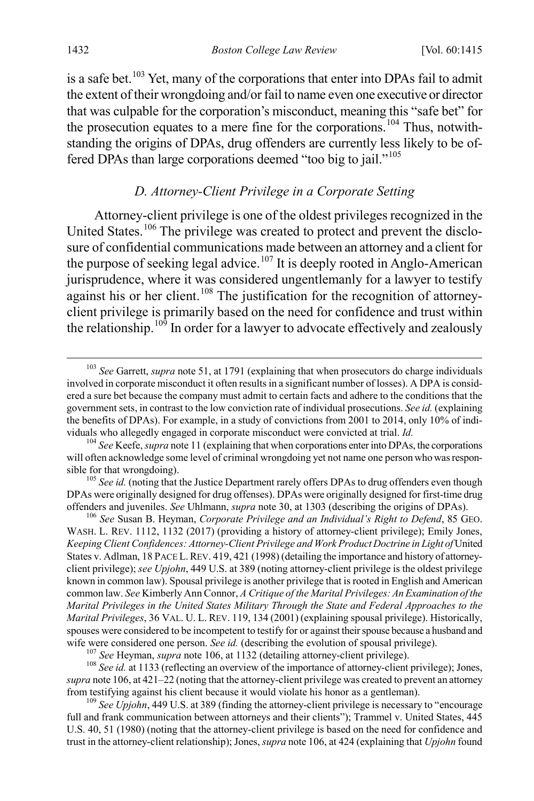is a safe bet.<sup>[103](#page-18-2)</sup> Yet, many of the corporations that enter into DPAs fail to admit the extent of their wrongdoing and/or fail to name even one executive or director that was culpable for the corporation's misconduct, meaning this "safe bet" for the prosecution equates to a mere fine for the corporations.<sup>[104](#page-18-3)</sup> Thus, notwithstanding the origins of DPAs, drug offenders are currently less likely to be offered DPAs than large corporations deemed "too big to jail."[105](#page-18-4)

#### <span id="page-18-1"></span><span id="page-18-0"></span>*D. Attorney-Client Privilege in a Corporate Setting*

Attorney-client privilege is one of the oldest privileges recognized in the United States.<sup>[106](#page-18-5)</sup> The privilege was created to protect and prevent the disclosure of confidential communications made between an attorney and a client for the purpose of seeking legal advice.<sup>[107](#page-18-6)</sup> It is deeply rooted in Anglo-American jurisprudence, where it was considered ungentlemanly for a lawyer to testify against his or her client.<sup>[108](#page-18-7)</sup> The justification for the recognition of attorneyclient privilege is primarily based on the need for confidence and trust within the relationship.<sup>[109](#page-18-8)</sup> In order for a lawyer to advocate effectively and zealously

<span id="page-18-7"></span><span id="page-18-6"></span><sup>107</sup> See Heyman, *supra* not[e 106,](#page-18-1) at 1132 (detailing attorney-client privilege).<br><sup>108</sup> See id. at 1133 (reflecting an overview of the importance of attorney-client privilege); Jones, *supra* not[e 106,](#page-18-1) at 421–22 (noting that the attorney-client privilege was created to prevent an attorney from testifying against his client because it would violate his honor as a gentleman). <sup>109</sup> *See Upjohn*, 449 U.S. at 389 (finding the attorney-client privilege is necessary to "encourage

<span id="page-18-8"></span>full and frank communication between attorneys and their clients"); Trammel v. United States, 445 U.S. 40, 51 (1980) (noting that the attorney-client privilege is based on the need for confidence and trust in the attorney-client relationship); Jones, *supra* not[e 106,](#page-18-1) at 424 (explaining that *Upjohn* found

<span id="page-18-2"></span> <sup>103</sup> *See* Garrett, *supra* not[e 51,](#page-9-7) at 1791 (explaining that when prosecutors do charge individuals involved in corporate misconduct it often results in a significant number of losses). A DPA is considered a sure bet because the company must admit to certain facts and adhere to the conditions that the government sets, in contrast to the low conviction rate of individual prosecutions. *See id.* (explaining the benefits of DPAs). For example, in a study of convictions from 2001 to 2014, only 10% of individuals who allegedly engaged in corporate misconduct were convicted at trial. *Id.* <sup>104</sup> *See* Keefe, *supra* not[e 11](#page-3-1) (explaining that when corporations enter into DPAs, the corporations

<span id="page-18-3"></span>will often acknowledge some level of criminal wrongdoing yet not name one person who was responsible for that wrongdoing). <sup>105</sup> *See id.* (noting that the Justice Department rarely offers DPAs to drug offenders even though

<span id="page-18-4"></span>DPAs were originally designed for drug offenses). DPAs were originally designed for first-time drug offenders and juveniles. *See* Uhlmann, *supra* not[e 30,](#page-6-0) at 1303 (describing the origins of DPAs). <sup>106</sup> *See* Susan B. Heyman, *Corporate Privilege and an Individual's Right to Defend*, 85 GEO.

<span id="page-18-5"></span>WASH. L. REV. 1112, 1132 (2017) (providing a history of attorney-client privilege); Emily Jones, *Keeping Client Confidences: Attorney-Client Privilege and Work Product Doctrine in Light of* United States v. Adlman, 18 PACE L.REV. 419, 421 (1998) (detailing the importance and history of attorneyclient privilege); *see Upjohn*, 449 U.S. at 389 (noting attorney-client privilege is the oldest privilege known in common law). Spousal privilege is another privilege that is rooted in English and American common law. *See* Kimberly Ann Connor, *A Critique of the Marital Privileges: An Examination of the Marital Privileges in the United States Military Through the State and Federal Approaches to the Marital Privileges*, 36 VAL. U. L. REV. 119, 134 (2001) (explaining spousal privilege). Historically, spouses were considered to be incompetent to testify for or against their spouse because a husband and wife were considered one person. See id. (describing the evolution of spousal privilege).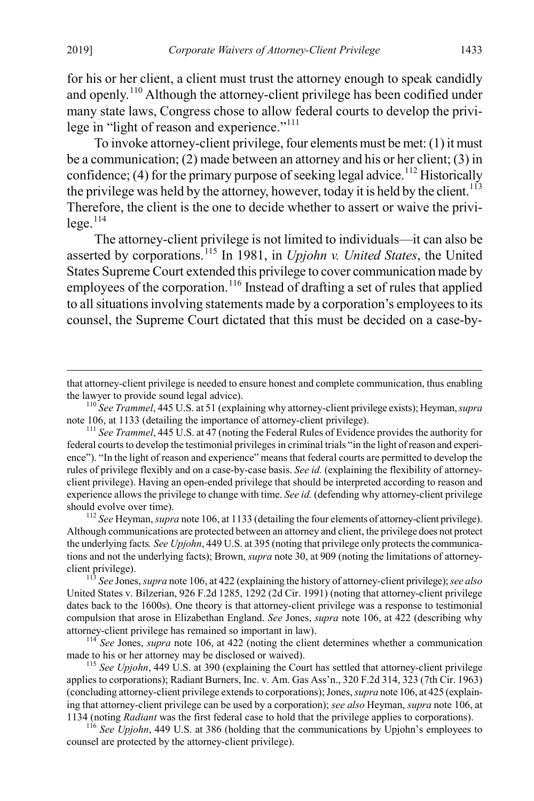for his or her client, a client must trust the attorney enough to speak candidly and openly.[110](#page-19-0) Although the attorney-client privilege has been codified under many state laws, Congress chose to allow federal courts to develop the privi-lege in "light of reason and experience."<sup>[111](#page-19-1)</sup>

To invoke attorney-client privilege, four elements must be met: (1) it must be a communication; (2) made between an attorney and his or her client; (3) in confidence; (4) for the primary purpose of seeking legal advice.<sup>[112](#page-19-2)</sup> Historically the privilege was held by the attorney, however, today it is held by the client.<sup>[113](#page-19-3)</sup> Therefore, the client is the one to decide whether to assert or waive the privi- $lege.<sup>114</sup>$  $lege.<sup>114</sup>$  $lege.<sup>114</sup>$ 

The attorney-client privilege is not limited to individuals—it can also be asserted by corporations.[115](#page-19-5) In 1981, in *Upjohn v. United States*, the United States Supreme Court extended this privilege to cover communication made by employees of the corporation.<sup>[116](#page-19-6)</sup> Instead of drafting a set of rules that applied to all situations involving statements made by a corporation's employees to its counsel, the Supreme Court dictated that this must be decided on a case-by-

<span id="page-19-2"></span>Although communications are protected between an attorney and client, the privilege does not protect the underlying facts*. See Upjohn*, 449 U.S. at 395 (noting that privilege only protects the communications and not the underlying facts); Brown, *supra* not[e 30,](#page-6-0) at 909 (noting the limitations of attorneyclient privilege). <sup>113</sup> *See* Jones, *supra* not[e 106,](#page-18-1) at 422 (explaining the history of attorney-client privilege); *see also* 

that attorney-client privilege is needed to ensure honest and complete communication, thus enabling

<span id="page-19-0"></span>the lawyer to provide sound legal advice).<br><sup>110</sup> *See Trammel*, 445 U.S. at 51 (explaining why attorney-client privilege exists); Heyman, *supra* note 106, at 1133 (detailing the importance of attorney-client privilege).

<span id="page-19-1"></span><sup>&</sup>lt;sup>111</sup> See Trammel, 445 U.S. at 47 (noting the Federal Rules of Evidence provides the authority for federal courts to develop the testimonial privileges in criminal trials "in the light of reason and experience"). "In the light of reason and experience" means that federal courts are permitted to develop the rules of privilege flexibly and on a case-by-case basis. *See id.* (explaining the flexibility of attorneyclient privilege). Having an open-ended privilege that should be interpreted according to reason and experience allows the privilege to change with time. *See id.* (defending why attorney-client privilege should evolve over time).<br><sup>112</sup> *See* Heyman, *supra* not[e 106,](#page-18-1) at 1133 (detailing the four elements of attorney-client privilege).

<span id="page-19-3"></span>United States v. Bilzerian, 926 F.2d 1285, 1292 (2d Cir. 1991) (noting that attorney-client privilege dates back to the 1600s). One theory is that attorney-client privilege was a response to testimonial compulsion that arose in Elizabethan England. *See* Jones, *supra* not[e 106,](#page-18-1) at 422 (describing why attorney-client privilege has remained so important in law). <sup>114</sup> *See* Jones, *supra* note [106,](#page-18-1) at 422 (noting the client determines whether a communication

<span id="page-19-4"></span>made to his or her attorney may be disclosed or waived). <sup>115</sup> *See Upjohn*, 449 U.S. at 390 (explaining the Court has settled that attorney-client privilege

<span id="page-19-5"></span>applies to corporations); Radiant Burners, Inc. v. Am. Gas Ass'n., 320 F.2d 314, 323 (7th Cir. 1963) (concluding attorney-client privilege extends to corporations); Jones, *supra* not[e 106,](#page-18-1) at 425 (explaining that attorney-client privilege can be used by a corporation); *see also* Heyman, *supra* not[e 106,](#page-18-1) at 1134 (noting *Radiant* was the first federal case to hold that the privilege applies to corporations). <sup>116</sup> *See Upjohn*, 449 U.S. at 386 (holding that the communications by Upjohn's employees to

<span id="page-19-6"></span>counsel are protected by the attorney-client privilege).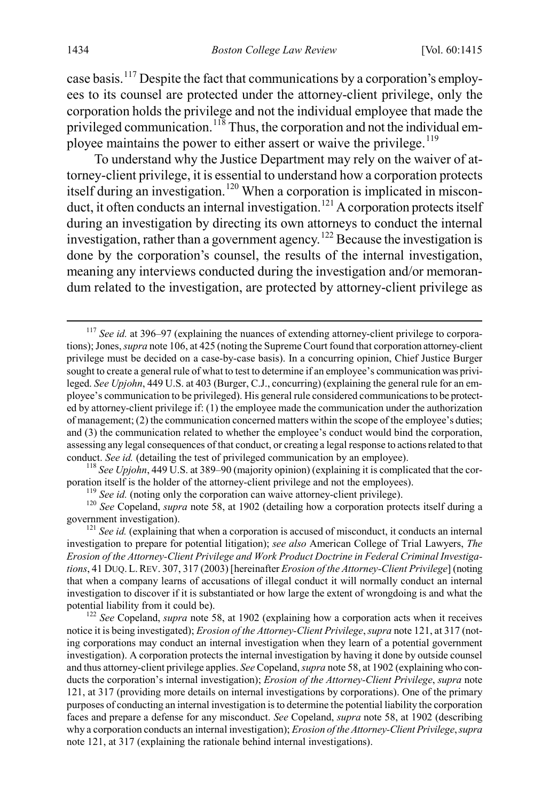case basis.[117](#page-20-1) Despite the fact that communications by a corporation's employees to its counsel are protected under the attorney-client privilege, only the corporation holds the privilege and not the individual employee that made the privileged communication.<sup>[118](#page-20-2)</sup> Thus, the corporation and not the individual em-ployee maintains the power to either assert or waive the privilege.<sup>[119](#page-20-3)</sup>

<span id="page-20-0"></span>To understand why the Justice Department may rely on the waiver of attorney-client privilege, it is essential to understand how a corporation protects itself during an investigation.<sup>[120](#page-20-4)</sup> When a corporation is implicated in miscon-duct, it often conducts an internal investigation.<sup>[121](#page-20-5)</sup> A corporation protects itself during an investigation by directing its own attorneys to conduct the internal investigation, rather than a government agency.[122](#page-20-6) Because the investigation is done by the corporation's counsel, the results of the internal investigation, meaning any interviews conducted during the investigation and/or memorandum related to the investigation, are protected by attorney-client privilege as

<span id="page-20-2"></span>conduct. *See id.* (detailing the test of privileged communication by an employee).<br><sup>118</sup> *See Upjohn*, 449 U.S. at 389–90 (majority opinion) (explaining it is complicated that the cor-<br>poration itself is the holder of the

<span id="page-20-4"></span><span id="page-20-3"></span><sup>119</sup> See id. (noting only the corporation can waive attorney-client privilege).<br><sup>120</sup> See Copeland, *supra* note [58,](#page-10-7) at 1902 (detailing how a corporation protects itself during a government investigation).

<span id="page-20-5"></span><sup>121</sup> See id. (explaining that when a corporation is accused of misconduct, it conducts an internal investigation to prepare for potential litigation); *see also* American College of Trial Lawyers, *The Erosion of the Attorney-Client Privilege and Work Product Doctrine in Federal Criminal Investigations*, 41 DUQ. L.REV. 307, 317 (2003) [hereinafter *Erosion of the Attorney-Client Privilege*] (noting that when a company learns of accusations of illegal conduct it will normally conduct an internal investigation to discover if it is substantiated or how large the extent of wrongdoing is and what the potential liability from it could be).<br><sup>122</sup> *See* Copeland, *supra* note [58,](#page-10-7) at 1902 (explaining how a corporation acts when it receives

<span id="page-20-6"></span>notice it is being investigated); *Erosion of the Attorney-Client Privilege*, *supra* not[e 121,](#page-20-0) at 317 (noting corporations may conduct an internal investigation when they learn of a potential government investigation). A corporation protects the internal investigation by having it done by outside counsel and thus attorney-client privilege applies. *See* Copeland, *supra* not[e 58,](#page-10-7) at 1902 (explaining who conducts the corporation's internal investigation); *Erosion of the Attorney-Client Privilege*, *supra* note [121,](#page-20-0) at 317 (providing more details on internal investigations by corporations). One of the primary purposes of conducting an internal investigation is to determine the potential liability the corporation faces and prepare a defense for any misconduct. *See* Copeland, *supra* note [58,](#page-10-7) at 1902 (describing why a corporation conducts an internal investigation); *Erosion of the Attorney-Client Privilege*, *supra* note [121,](#page-20-0) at 317 (explaining the rationale behind internal investigations).

<span id="page-20-1"></span> <sup>117</sup> *See id.* at 396–97 (explaining the nuances of extending attorney-client privilege to corporations);Jones, *supra* not[e 106,](#page-18-1) at 425 (noting the Supreme Court found that corporation attorney-client privilege must be decided on a case-by-case basis). In a concurring opinion, Chief Justice Burger sought to create a general rule of what to test to determine if an employee's communication was privileged. *See Upjohn*, 449 U.S. at 403 (Burger, C.J., concurring) (explaining the general rule for an employee's communication to be privileged). His general rule considered communications to be protected by attorney-client privilege if: (1) the employee made the communication under the authorization of management; (2) the communication concerned matters within the scope of the employee's duties; and (3) the communication related to whether the employee's conduct would bind the corporation, assessing any legal consequences of that conduct, or creating a legal response to actions related to that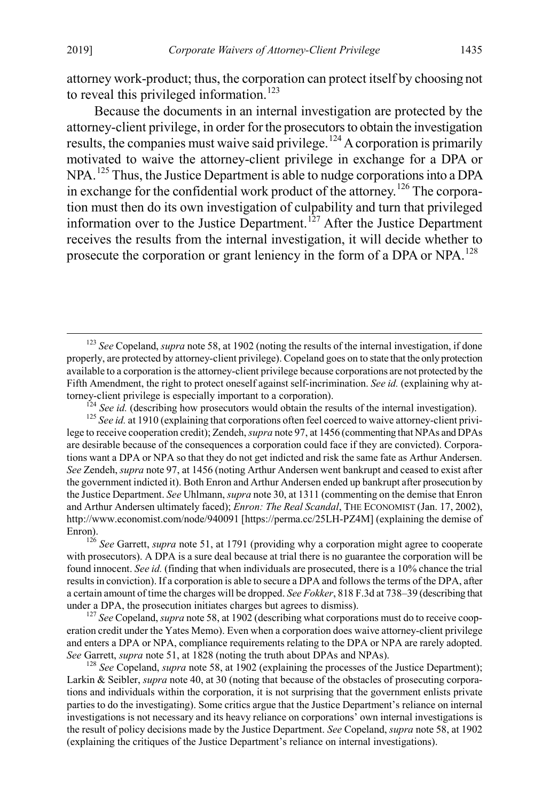attorney work-product; thus, the corporation can protect itself by choosing not to reveal this privileged information.<sup>[123](#page-21-1)</sup>

Because the documents in an internal investigation are protected by the attorney-client privilege, in order for the prosecutors to obtain the investigation results, the companies must waive said privilege.<sup>[124](#page-21-2)</sup> A corporation is primarily motivated to waive the attorney-client privilege in exchange for a DPA or NPA.<sup>[125](#page-21-3)</sup> Thus, the Justice Department is able to nudge corporations into a DPA in exchange for the confidential work product of the attorney.[126](#page-21-4) The corporation must then do its own investigation of culpability and turn that privileged information over to the Justice Department.<sup>[127](#page-21-5)</sup> After the Justice Department receives the results from the internal investigation, it will decide whether to prosecute the corporation or grant leniency in the form of a DPA or  $NPA$ .<sup>[128](#page-21-6)</sup>

<span id="page-21-0"></span>

<span id="page-21-3"></span><span id="page-21-2"></span>torney-client privilege is especially important to a corporation).<br><sup>124</sup> See id. (describing how prosecutors would obtain the results of the internal investigation).<br><sup>125</sup> See id. at 1910 (explaining that corporations oft lege to receive cooperation credit); Zendeh, *supra* not[e 97,](#page-16-7) at 1456 (commenting that NPAs and DPAs are desirable because of the consequences a corporation could face if they are convicted). Corporations want a DPA or NPA so that they do not get indicted and risk the same fate as Arthur Andersen. *See* Zendeh, *supra* note [97,](#page-16-7) at 1456 (noting Arthur Andersen went bankrupt and ceased to exist after the government indicted it). Both Enron and Arthur Andersen ended up bankrupt after prosecution by the Justice Department. *See* Uhlmann, *supra* not[e 30,](#page-6-0) at 1311 (commenting on the demise that Enron and Arthur Andersen ultimately faced); *Enron: The Real Scandal*, THE ECONOMIST (Jan. 17, 2002), http://www.economist.com/node/940091 [https://perma.cc/25LH-PZ4M] (explaining the demise of

<span id="page-21-4"></span>Enron). 126 *See* Garrett, *supra* note [51,](#page-9-7) at 1791 (providing why a corporation might agree to cooperate with prosecutors). A DPA is a sure deal because at trial there is no guarantee the corporation will be found innocent. *See id.* (finding that when individuals are prosecuted, there is a 10% chance the trial results in conviction). If a corporation is able to secure a DPA and follows the terms of the DPA, after a certain amount of time the charges will be dropped. *See Fokker*, 818 F.3d at 738–39 (describing that under a DPA, the prosecution initiates charges but agrees to dismiss). <sup>127</sup> *See* Copeland, *supra* not[e 58,](#page-10-7) at 1902 (describing what corporations must do to receive coop-

<span id="page-21-5"></span>eration credit under the Yates Memo). Even when a corporation does waive attorney-client privilege and enters a DPA or NPA, compliance requirements relating to the DPA or NPA are rarely adopted. *See Garrett, <i>supra* not[e 51,](#page-9-7) at 1828 (noting the truth about DPAs and NPAs). <sup>128</sup> *See Copeland, <i>supra* not[e 58,](#page-10-7) at 1902 (explaining the processes of the Justice Department);

<span id="page-21-6"></span>Larkin & Seibler, *supra* note [40,](#page-7-4) at 30 (noting that because of the obstacles of prosecuting corporations and individuals within the corporation, it is not surprising that the government enlists private parties to do the investigating). Some critics argue that the Justice Department's reliance on internal investigations is not necessary and its heavy reliance on corporations' own internal investigations is the result of policy decisions made by the Justice Department. *See* Copeland, *supra* not[e 58,](#page-10-7) at 1902 (explaining the critiques of the Justice Department's reliance on internal investigations).

<span id="page-21-1"></span> <sup>123</sup> *See* Copeland, *supra* not[e 58,](#page-10-7) at 1902 (noting the results of the internal investigation, if done properly, are protected by attorney-client privilege). Copeland goes on to state that the only protection available to a corporation is the attorney-client privilege because corporations are not protected by the Fifth Amendment, the right to protect oneself against self-incrimination. *See id.* (explaining why at-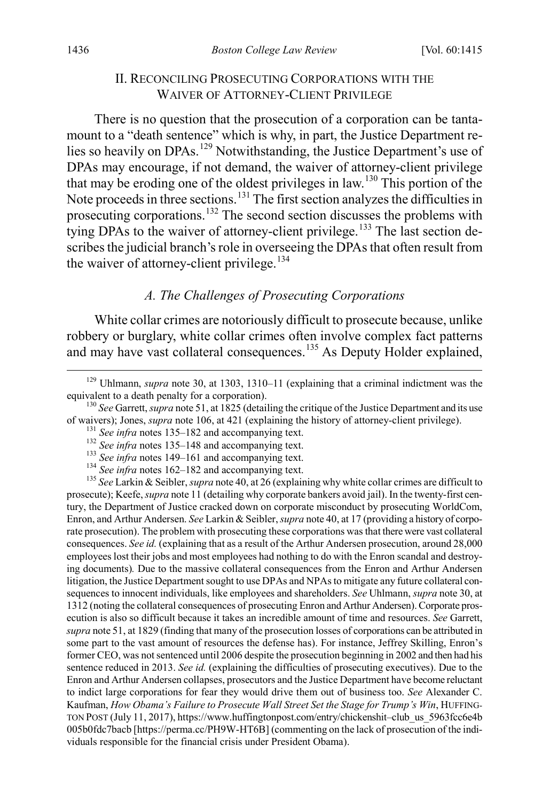#### <span id="page-22-0"></span>II. RECONCILING PROSECUTING CORPORATIONS WITH THE WAIVER OF ATTORNEY-CLIENT PRIVILEGE

There is no question that the prosecution of a corporation can be tantamount to a "death sentence" which is why, in part, the Justice Department re-lies so heavily on DPAs.<sup>[129](#page-22-2)</sup> Notwithstanding, the Justice Department's use of DPAs may encourage, if not demand, the waiver of attorney-client privilege that may be eroding one of the oldest privileges in law.[130](#page-22-3) This portion of the Note proceeds in three sections.[131](#page-22-4) The first section analyzes the difficulties in prosecuting corporations.<sup>[132](#page-22-5)</sup> The second section discusses the problems with tying DPAs to the waiver of attorney-client privilege.<sup>[133](#page-22-6)</sup> The last section describes the judicial branch's role in overseeing the DPAs that often result from the waiver of attorney-client privilege.<sup>[134](#page-22-7)</sup>

## <span id="page-22-1"></span>*A. The Challenges of Prosecuting Corporations*

White collar crimes are notoriously difficult to prosecute because, unlike robbery or burglary, white collar crimes often involve complex fact patterns and may have vast collateral consequences.<sup>[135](#page-22-8)</sup> As Deputy Holder explained,

<span id="page-22-8"></span><span id="page-22-7"></span><span id="page-22-6"></span><span id="page-22-5"></span><span id="page-22-4"></span><sup>131</sup> See infra notes [135–](#page-22-1)[182](#page-31-0) and accompanying text.<br><sup>132</sup> See infra notes 135–[148](#page-24-0) and accompanying text.<br><sup>133</sup> See infra notes [149–](#page-25-0)[161](#page-27-0) and accompanying text.<br><sup>134</sup> See infra notes [162–](#page-27-1)182 and accompanying text.<br><sup>135</sup> See prosecute); Keefe, *supra* not[e 11](#page-3-1) (detailing why corporate bankers avoid jail). In the twenty-first century, the Department of Justice cracked down on corporate misconduct by prosecuting WorldCom, Enron, and Arthur Andersen. *See* Larkin & Seibler, *supra* not[e 40,](#page-7-4) at 17 (providing a history of corporate prosecution). The problem with prosecuting these corporations was that there were vast collateral consequences. *See id.* (explaining that as a result of the Arthur Andersen prosecution, around 28,000 employees lost their jobs and most employees had nothing to do with the Enron scandal and destroying documents)*.* Due to the massive collateral consequences from the Enron and Arthur Andersen litigation, the Justice Department sought to use DPAs and NPAs to mitigate any future collateral consequences to innocent individuals, like employees and shareholders. *See* Uhlmann, *supra* not[e 30,](#page-6-0) at 1312 (noting the collateral consequences of prosecuting Enron and Arthur Andersen). Corporate prosecution is also so difficult because it takes an incredible amount of time and resources. *See* Garrett, *supra* not[e 51,](#page-9-7) at 1829 (finding that many of the prosecution losses of corporations can be attributed in some part to the vast amount of resources the defense has). For instance, Jeffrey Skilling, Enron's former CEO, was not sentenced until 2006 despite the prosecution beginning in 2002 and then had his sentence reduced in 2013. *See id.* (explaining the difficulties of prosecuting executives). Due to the Enron and Arthur Andersen collapses, prosecutors and the Justice Department have become reluctant to indict large corporations for fear they would drive them out of business too. *See* Alexander C. Kaufman, *How Obama's Failure to Prosecute Wall Street Set the Stage for Trump's Win*, HUFFING-TON POST (July 11, 2017), https://www.huffingtonpost.com/entry/chickenshit–club\_us\_5963fcc6e4b 005b0fdc7bacb [https://perma.cc/PH9W-HT6B] (commenting on the lack of prosecution of the individuals responsible for the financial crisis under President Obama).

<span id="page-22-2"></span><sup>&</sup>lt;sup>129</sup> Uhlmann, *supra* note [30,](#page-6-0) at 1303, 1310–11 (explaining that a criminal indictment was the equivalent to a death penalty for a corporation).

<span id="page-22-3"></span><sup>&</sup>lt;sup>130</sup> *See* Garrett, *supra* not[e 51,](#page-9-7) at 1825 (detailing the critique of the Justice Department and its use of waivers); Jones, *supra* note 106, at 421 (explaining the history of attorney-client privilege).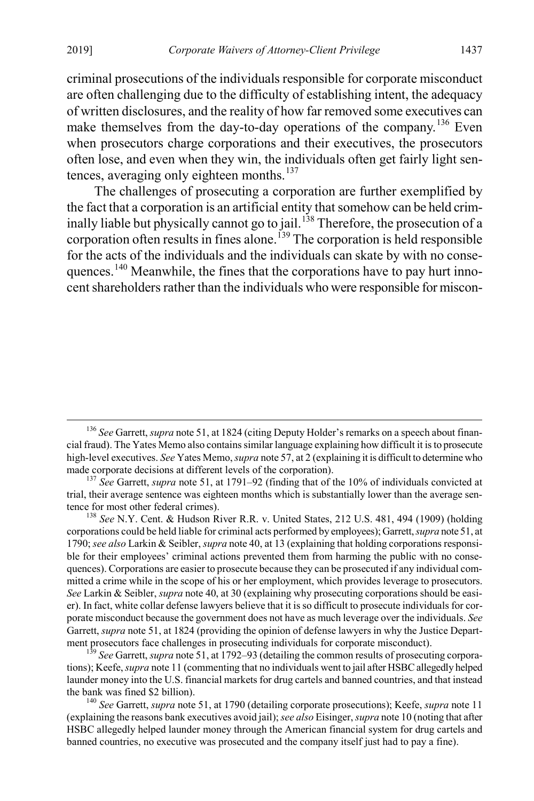criminal prosecutions of the individuals responsible for corporate misconduct are often challenging due to the difficulty of establishing intent, the adequacy of written disclosures, and the reality of how far removed some executives can make themselves from the day-to-day operations of the company.<sup>[136](#page-23-0)</sup> Even when prosecutors charge corporations and their executives, the prosecutors often lose, and even when they win, the individuals often get fairly light sen-tences, averaging only eighteen months.<sup>[137](#page-23-1)</sup>

The challenges of prosecuting a corporation are further exemplified by the fact that a corporation is an artificial entity that somehow can be held crim-inally liable but physically cannot go to jail.<sup>[138](#page-23-2)</sup> Therefore, the prosecution of a corporation often results in fines alone.<sup>[139](#page-23-3)</sup> The corporation is held responsible for the acts of the individuals and the individuals can skate by with no conse-quences.<sup>[140](#page-23-4)</sup> Meanwhile, the fines that the corporations have to pay hurt innocent shareholders rather than the individuals who were responsible for miscon-

<span id="page-23-3"></span><sup>139</sup> See Garrett, *supra* not[e 51,](#page-9-7) at 1792–93 (detailing the common results of prosecuting corporations); Keefe, *supra* not[e 11](#page-3-1) (commenting that no individuals went to jail after HSBC allegedly helped launder money into the U.S. financial markets for drug cartels and banned countries, and that instead the bank was fined \$2 billion). <sup>140</sup> *See* Garrett, *supra* not[e 51,](#page-9-7) at 1790 (detailing corporate prosecutions); Keefe, *supra* note [11](#page-3-1)

<span id="page-23-0"></span><sup>&</sup>lt;sup>136</sup> See Garrett, *supra* not[e 51,](#page-9-7) at 1824 (citing Deputy Holder's remarks on a speech about financial fraud). The Yates Memo also contains similar language explaining how difficult it is to prosecute high-level executives. *See* Yates Memo, *supra* not[e 57,](#page-10-1) at 2 (explaining it is difficult to determine who made corporate decisions at different levels of the corporation).<br><sup>137</sup> *See* Garrett, *supra* not[e 51,](#page-9-7) at 1791–92 (finding that of the 10% of individuals convicted at

<span id="page-23-1"></span>trial, their average sentence was eighteen months which is substantially lower than the average sentence for most other federal crimes). <sup>138</sup> *See* N.Y. Cent. & Hudson River R.R. v. United States, 212 U.S. 481, 494 (1909) (holding

<span id="page-23-2"></span>corporations could be held liable for criminal acts performed by employees); Garrett, *supra* not[e 51,](#page-9-7) at 1790; *see also* Larkin & Seibler, *supra* not[e 40,](#page-7-4) at 13 (explaining that holding corporations responsible for their employees' criminal actions prevented them from harming the public with no consequences). Corporations are easier to prosecute because they can be prosecuted if any individual committed a crime while in the scope of his or her employment, which provides leverage to prosecutors. *See* Larkin & Seibler, *supra* not[e 40,](#page-7-4) at 30 (explaining why prosecuting corporations should be easier). In fact, white collar defense lawyers believe that it is so difficult to prosecute individuals for corporate misconduct because the government does not have as much leverage over the individuals. *See* Garrett, *supra* not[e 51,](#page-9-7) at 1824 (providing the opinion of defense lawyers in why the Justice Depart-<br>ment prosecutors face challenges in prosecuting individuals for corporate misconduct).

<span id="page-23-4"></span><sup>(</sup>explaining the reasons bank executives avoid jail);*see also* Eisinger,*supra* not[e 10](#page-3-0) (noting that after HSBC allegedly helped launder money through the American financial system for drug cartels and banned countries, no executive was prosecuted and the company itself just had to pay a fine).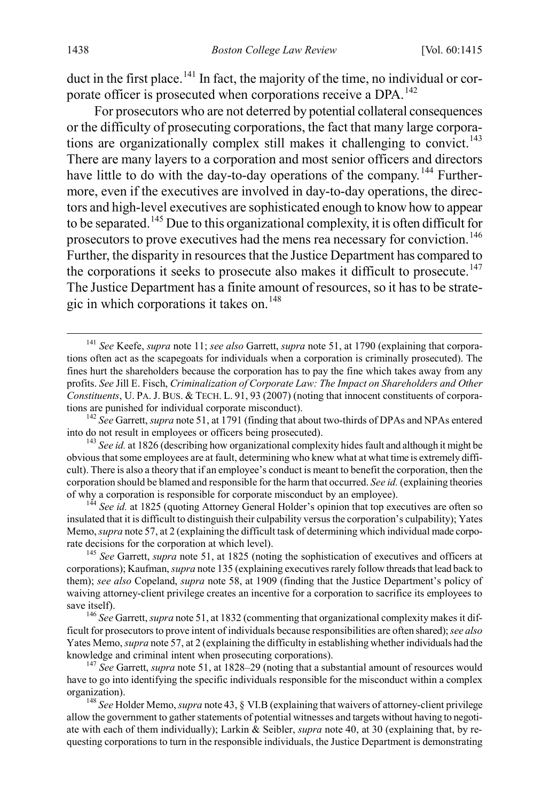duct in the first place.<sup>[141](#page-24-1)</sup> In fact, the majority of the time, no individual or cor-porate officer is prosecuted when corporations receive a DPA.<sup>[142](#page-24-2)</sup>

For prosecutors who are not deterred by potential collateral consequences or the difficulty of prosecuting corporations, the fact that many large corpora-tions are organizationally complex still makes it challenging to convict.<sup>[143](#page-24-3)</sup> There are many layers to a corporation and most senior officers and directors have little to do with the day-to-day operations of the company.<sup>144</sup> Furthermore, even if the executives are involved in day-to-day operations, the directors and high-level executives are sophisticated enough to know how to appear to be separated.<sup>[145](#page-24-5)</sup> Due to this organizational complexity, it is often difficult for prosecutors to prove executives had the mens rea necessary for conviction.<sup>[146](#page-24-6)</sup> Further, the disparity in resources that the Justice Department has compared to the corporations it seeks to prosecute also makes it difficult to prosecute.<sup>[147](#page-24-7)</sup> The Justice Department has a finite amount of resources, so it has to be strate-gic in which corporations it takes on.<sup>[148](#page-24-8)</sup>

<span id="page-24-1"></span><span id="page-24-0"></span> <sup>141</sup> *See* Keefe, *supra* note [11;](#page-3-1) *see also* Garrett, *supra* not[e 51,](#page-9-7) at 1790 (explaining that corporations often act as the scapegoats for individuals when a corporation is criminally prosecuted). The fines hurt the shareholders because the corporation has to pay the fine which takes away from any profits. *See* Jill E. Fisch, *Criminalization of Corporate Law: The Impact on Shareholders and Other Constituents*, U. PA. J. BUS. & TECH. L. 91, 93 (2007) (noting that innocent constituents of corpora-<br>tions are punished for individual corporate misconduct).

<span id="page-24-2"></span><sup>&</sup>lt;sup>142</sup> See Garrett, *supra* not[e 51,](#page-9-7) at 1791 (finding that about two-thirds of DPAs and NPAs entered into do not result in employees or officers being prosecuted). <sup>143</sup> *See id.* at 1826 (describing how organizational complexity hides fault and although it might be

<span id="page-24-3"></span>obvious that some employees are at fault, determining who knew what at what time is extremely difficult). There is also a theory that if an employee's conduct is meant to benefit the corporation, then the corporation should be blamed and responsible for the harm that occurred. *See id.* (explaining theories of why a corporation is responsible for corporate misconduct by an employee). <sup>144</sup> *See id.* at 1825 (quoting Attorney General Holder's opinion that top executives are often so

<span id="page-24-4"></span>insulated that it is difficult to distinguish their culpability versus the corporation's culpability); Yates Memo, *supra* not[e 57,](#page-10-1) at 2 (explaining the difficult task of determining which individual made corporate decisions for the corporation at which level). <sup>145</sup> *See* Garrett, *supra* not[e 51,](#page-9-7) at 1825 (noting the sophistication of executives and officers at

<span id="page-24-5"></span>corporations); Kaufman, *supra* not[e 135](#page-22-1) (explaining executives rarely follow threads that lead back to them); *see also* Copeland, *supra* note [58,](#page-10-7) at 1909 (finding that the Justice Department's policy of waiving attorney-client privilege creates an incentive for a corporation to sacrifice its employees to save itself). <sup>146</sup> *See* Garrett, *supra* not[e 51,](#page-9-7) at 1832 (commenting that organizational complexity makes it dif-

<span id="page-24-6"></span>ficult for prosecutors to prove intent of individuals because responsibilities are often shared); *see also*  Yates Memo, *supra* not[e 57,](#page-10-1) at 2 (explaining the difficulty in establishing whether individuals had the knowledge and criminal intent when prosecuting corporations). <sup>147</sup> *See* Garrett, *supra* not[e 51,](#page-9-7) at 1828–29 (noting that a substantial amount of resources would

<span id="page-24-7"></span>have to go into identifying the specific individuals responsible for the misconduct within a complex organization). <sup>148</sup> *See* Holder Memo, *supra* not[e 43,](#page-8-0) § VI.B (explaining that waivers of attorney-client privilege

<span id="page-24-8"></span>allow the government to gather statements of potential witnesses and targets without having to negotiate with each of them individually); Larkin & Seibler, *supra* not[e 40,](#page-7-4) at 30 (explaining that, by requesting corporations to turn in the responsible individuals, the Justice Department is demonstrating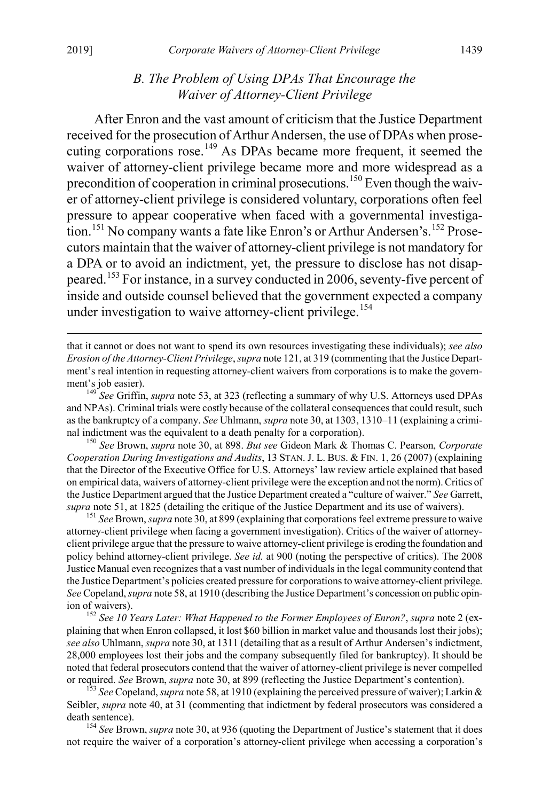#### <span id="page-25-8"></span><span id="page-25-0"></span>*B. The Problem of Using DPAs That Encourage the Waiver of Attorney-Client Privilege*

After Enron and the vast amount of criticism that the Justice Department received for the prosecution of Arthur Andersen, the use of DPAs when prose-cuting corporations rose.<sup>[149](#page-25-1)</sup> As DPAs became more frequent, it seemed the waiver of attorney-client privilege became more and more widespread as a precondition of cooperation in criminal prosecutions.<sup>[150](#page-25-2)</sup> Even though the waiver of attorney-client privilege is considered voluntary, corporations often feel pressure to appear cooperative when faced with a governmental investiga-tion.<sup>[151](#page-25-3)</sup> No company wants a fate like Enron's or Arthur Andersen's.<sup>[152](#page-25-4)</sup> Prosecutors maintain that the waiver of attorney-client privilege is not mandatory for a DPA or to avoid an indictment, yet, the pressure to disclose has not disappeared.[153](#page-25-5) For instance, in a survey conducted in 2006, seventy-five percent of inside and outside counsel believed that the government expected a company under investigation to waive attorney-client privilege. [154](#page-25-6)

<span id="page-25-2"></span><sup>150</sup> *See* Brown, *supra* note [30,](#page-6-0) at 898. *But see* Gideon Mark & Thomas C. Pearson, *Corporate Cooperation During Investigations and Audits*, 13 STAN. J. L. BUS. & FIN. 1, 26 (2007) (explaining that the Director of the Executive Office for U.S. Attorneys' law review article explained that based on empirical data, waivers of attorney-client privilege were the exception and not the norm). Critics of the Justice Department argued that the Justice Department created a "culture of waiver." *See* Garrett, *supra* not[e 51,](#page-9-7) at 1825 (detailing the critique of the Justice Department and its use of waivers). <sup>151</sup> *See* Brown, *supra* not[e 30,](#page-6-0) at 899 (explaining that corporations feel extreme pressure to waive

<span id="page-25-3"></span>attorney-client privilege when facing a government investigation). Critics of the waiver of attorneyclient privilege argue that the pressure to waive attorney-client privilege is eroding the foundation and policy behind attorney-client privilege. *See id.* at 900 (noting the perspective of critics). The 2008 Justice Manual even recognizes that a vast number of individuals in the legal community contend that the Justice Department's policies created pressure for corporations to waive attorney-client privilege. *See* Copeland, *supra* not[e 58,](#page-10-7) at 1910 (describing the Justice Department's concession on public opinion of waivers). <sup>152</sup> *See 10 Years Later: What Happened to the Former Employees of Enron?*, *supra* not[e 2](#page-1-4) (ex-

<span id="page-25-4"></span>plaining that when Enron collapsed, it lost \$60 billion in market value and thousands lost their jobs); *see also* Uhlmann, *supra* not[e 30,](#page-6-0) at 1311 (detailing that as a result of Arthur Andersen's indictment, 28,000 employees lost their jobs and the company subsequently filed for bankruptcy). It should be noted that federal prosecutors contend that the waiver of attorney-client privilege is never compelled or required. See Brown, supra note 30, at 899 (reflecting the Justice Department's contention).

<span id="page-25-5"></span><sup>153</sup> See Copeland, *supra* not[e 58,](#page-10-7) at 1910 (explaining the perceived pressure of waiver); Larkin & Seibler, *supra* note [40,](#page-7-4) at 31 (commenting that indictment by federal prosecutors was considered a death sentence). <sup>154</sup> *See* Brown, *supra* not[e 30,](#page-6-0) at 936 (quoting the Department of Justice's statement that it does

<span id="page-25-6"></span>not require the waiver of a corporation's attorney-client privilege when accessing a corporation's

<span id="page-25-7"></span>that it cannot or does not want to spend its own resources investigating these individuals); *see also Erosion of the Attorney-Client Privilege*, *supra* not[e 121,](#page-20-0) at 319 (commenting that the Justice Department's real intention in requesting attorney-client waivers from corporations is to make the government's job easier). <sup>149</sup> *See* Griffin, *supra* not[e 53,](#page-9-6) at 323 (reflecting a summary of why U.S. Attorneys used DPAs

<span id="page-25-1"></span>and NPAs). Criminal trials were costly because of the collateral consequences that could result, such as the bankruptcy of a company. *See* Uhlmann, *supra* not[e 30,](#page-6-0) at 1303, 1310–11 (explaining a crimi-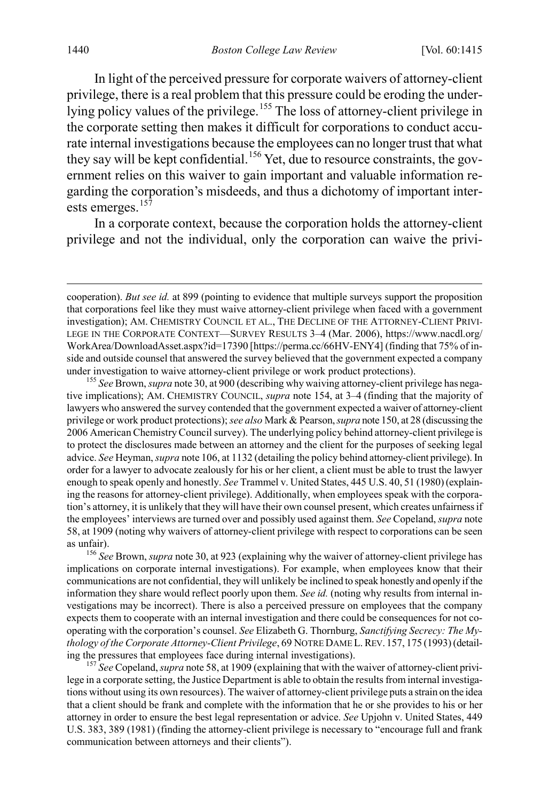In light of the perceived pressure for corporate waivers of attorney-client privilege, there is a real problem that this pressure could be eroding the under-lying policy values of the privilege.<sup>[155](#page-26-0)</sup> The loss of attorney-client privilege in the corporate setting then makes it difficult for corporations to conduct accurate internal investigations because the employees can no longer trust that what they say will be kept confidential.<sup>[156](#page-26-1)</sup> Yet, due to resource constraints, the government relies on this waiver to gain important and valuable information regarding the corporation's misdeeds, and thus a dichotomy of important inter-ests emerges.<sup>[157](#page-26-2)</sup>

<span id="page-26-3"></span>In a corporate context, because the corporation holds the attorney-client privilege and not the individual, only the corporation can waive the privi-

<span id="page-26-0"></span>tive implications); AM. CHEMISTRY COUNCIL, *supra* note [154,](#page-25-7) at 3–4 (finding that the majority of lawyers who answered the survey contended that the government expected a waiver of attorney-client privilege or work product protections); *see also* Mark & Pearson, *supra* not[e 150,](#page-25-8) at 28 (discussing the 2006 American Chemistry Council survey). The underlying policy behind attorney-client privilege is to protect the disclosures made between an attorney and the client for the purposes of seeking legal advice. *See* Heyman, *supra* not[e 106,](#page-18-1) at 1132 (detailing the policy behind attorney-client privilege). In order for a lawyer to advocate zealously for his or her client, a client must be able to trust the lawyer enough to speak openly and honestly. *See* Trammel v. United States, 445 U.S. 40, 51 (1980) (explaining the reasons for attorney-client privilege). Additionally, when employees speak with the corporation's attorney, it is unlikely that they will have their own counsel present, which creates unfairness if the employees' interviews are turned over and possibly used against them. *See* Copeland, *supra* note [58,](#page-10-7) at 1909 (noting why waivers of attorney-client privilege with respect to corporations can be seen

<span id="page-26-1"></span>as unfair). <sup>156</sup> *See* Brown, *supra* not[e 30,](#page-6-0) at 923 (explaining why the waiver of attorney-client privilege has implications on corporate internal investigations). For example, when employees know that their communications are not confidential, they will unlikely be inclined to speak honestly and openly if the information they share would reflect poorly upon them. *See id.* (noting why results from internal investigations may be incorrect). There is also a perceived pressure on employees that the company expects them to cooperate with an internal investigation and there could be consequences for not cooperating with the corporation's counsel. *See* Elizabeth G. Thornburg, *Sanctifying Secrecy: The Mythology of the Corporate Attorney-Client Privilege*, 69 NOTRE DAME L.REV. 157, 175 (1993) (detailing the pressures that employees face during internal investigations). <sup>157</sup> *See* Copeland, *supra* not[e 58,](#page-10-7) at 1909 (explaining that with the waiver of attorney-client privi-

<span id="page-26-2"></span>lege in a corporate setting, the Justice Department is able to obtain the results from internal investigations without using its own resources). The waiver of attorney-client privilege puts a strain on the idea that a client should be frank and complete with the information that he or she provides to his or her attorney in order to ensure the best legal representation or advice. *See* Upjohn v. United States, 449 U.S. 383, 389 (1981) (finding the attorney-client privilege is necessary to "encourage full and frank communication between attorneys and their clients").

cooperation). *But see id.* at 899 (pointing to evidence that multiple surveys support the proposition that corporations feel like they must waive attorney-client privilege when faced with a government investigation); AM. CHEMISTRY COUNCIL ET AL., THE DECLINE OF THE ATTORNEY-CLIENT PRIVI-LEGE IN THE CORPORATE CONTEXT—SURVEY RESULTS 3–4 (Mar. 2006), https://www.nacdl.org/ WorkArea/DownloadAsset.aspx?id=17390 [https://perma.cc/66HV-ENY4] (finding that 75% of inside and outside counsel that answered the survey believed that the government expected a company under investigation to waive attorney-client privilege or work product protections). <sup>155</sup> *See* Brown, *supra* not[e 30,](#page-6-0) at 900 (describing why waiving attorney-client privilege has nega-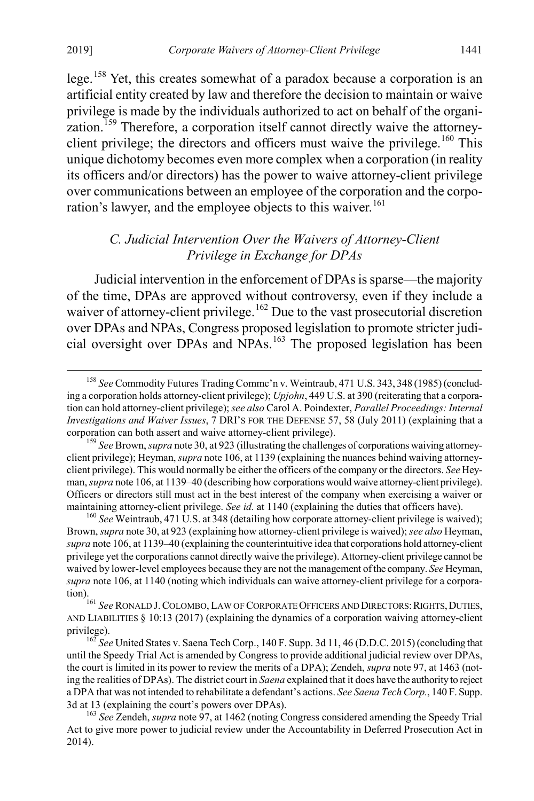lege.[158](#page-27-2) Yet, this creates somewhat of a paradox because a corporation is an artificial entity created by law and therefore the decision to maintain or waive privilege is made by the individuals authorized to act on behalf of the organi-zation.<sup>[159](#page-27-3)</sup> Therefore, a corporation itself cannot directly waive the attorney-client privilege; the directors and officers must waive the privilege.<sup>[160](#page-27-4)</sup> This unique dichotomy becomes even more complex when a corporation (in reality its officers and/or directors) has the power to waive attorney-client privilege over communications between an employee of the corporation and the corpo-ration's lawyer, and the employee objects to this waiver.<sup>[161](#page-27-5)</sup>

#### <span id="page-27-1"></span><span id="page-27-0"></span>*C. Judicial Intervention Over the Waivers of Attorney-Client Privilege in Exchange for DPAs*

Judicial intervention in the enforcement of DPAs is sparse—the majority of the time, DPAs are approved without controversy, even if they include a waiver of attorney-client privilege.<sup>[162](#page-27-6)</sup> Due to the vast prosecutorial discretion over DPAs and NPAs, Congress proposed legislation to promote stricter judi-cial oversight over DPAs and NPAs.<sup>[163](#page-27-7)</sup> The proposed legislation has been

<span id="page-27-2"></span> <sup>158</sup> *See* Commodity Futures Trading Commc'n v. Weintraub, 471 U.S. 343, 348 (1985) (concluding a corporation holds attorney-client privilege); *Upjohn*, 449 U.S. at 390 (reiterating that a corporation can hold attorney-client privilege); *see also* Carol A. Poindexter, *Parallel Proceedings: Internal Investigations and Waiver Issues*, 7 DRI'S FOR THE DEFENSE 57, 58 (July 2011) (explaining that a corporation can both assert and waive attorney-client privilege).

<span id="page-27-3"></span><sup>&</sup>lt;sup>159</sup> See Brown, *supra* not[e 30,](#page-6-0) at 923 (illustrating the challenges of corporations waiving attorneyclient privilege); Heyman, *supra* not[e 106,](#page-18-1) at 1139 (explaining the nuances behind waiving attorneyclient privilege). This would normally be either the officers of the company or the directors. *See* Heyman, *supra* not[e 106,](#page-18-1) at 1139–40 (describing how corporations would waive attorney-client privilege). Officers or directors still must act in the best interest of the company when exercising a waiver or maintaining attorney-client privilege. *See id.* at 1140 (explaining the duties that officers have). <sup>160</sup> *See* Weintraub, 471 U.S. at 348 (detailing how corporate attorney-client privilege is waived);

<span id="page-27-4"></span>Brown, *supra* not[e 30,](#page-6-0) at 923 (explaining how attorney-client privilege is waived); *see also* Heyman, *supra* not[e 106,](#page-18-1) at 1139–40 (explaining the counterintuitive idea that corporations hold attorney-client privilege yet the corporations cannot directly waive the privilege). Attorney-client privilege cannot be waived by lower-level employees because they are not the management of the company. *See* Heyman, *supra* note [106,](#page-18-1) at 1140 (noting which individuals can waive attorney-client privilege for a corpora-

<span id="page-27-5"></span><sup>&</sup>lt;sup>161</sup> See RONALD J. COLOMBO, LAW OF CORPORATE OFFICERS AND DIRECTORS: RIGHTS, DUTIES, AND LIABILITIES § 10:13 (2017) (explaining the dynamics of a corporation waiving attorney-client privilege).<br><sup>162</sup> *See* United States v. Saena Tech Corp., 140 F. Supp. 3d 11, 46 (D.D.C. 2015) (concluding that

<span id="page-27-6"></span>until the Speedy Trial Act is amended by Congress to provide additional judicial review over DPAs, the court is limited in its power to review the merits of a DPA); Zendeh, *supra* not[e 97,](#page-16-7) at 1463 (noting the realities of DPAs). The district court in *Saena* explained that it does have the authority to reject a DPA that was not intended to rehabilitate a defendant's actions. *See Saena Tech Corp.*, 140 F. Supp. 3d at 13 (explaining the court's powers over DPAs). <sup>163</sup> *See* Zendeh, *supra* not[e 97,](#page-16-7) at 1462 (noting Congress considered amending the Speedy Trial

<span id="page-27-7"></span>Act to give more power to judicial review under the Accountability in Deferred Prosecution Act in 2014).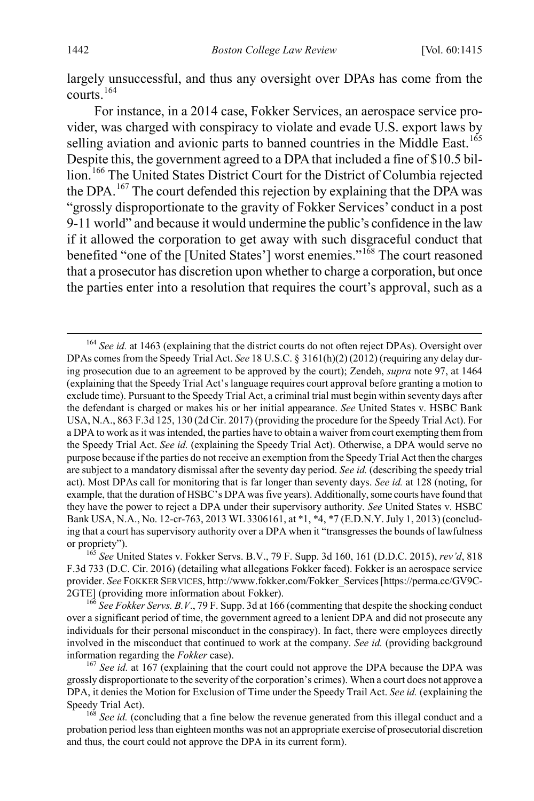largely unsuccessful, and thus any oversight over DPAs has come from the courts.[164](#page-28-0)

For instance, in a 2014 case, Fokker Services, an aerospace service provider, was charged with conspiracy to violate and evade U.S. export laws by selling aviation and avionic parts to banned countries in the Middle East.<sup>[165](#page-28-1)</sup> Despite this, the government agreed to a DPA that included a fine of \$10.5 billion.<sup>166</sup> The United States District Court for the District of Columbia rejected the DPA.<sup>[167](#page-28-3)</sup> The court defended this rejection by explaining that the DPA was "grossly disproportionate to the gravity of Fokker Services' conduct in a post 9-11 world" and because it would undermine the public's confidence in the law if it allowed the corporation to get away with such disgraceful conduct that benefited "one of the [United States'] worst enemies."<sup>[168](#page-28-4)</sup> The court reasoned that a prosecutor has discretion upon whether to charge a corporation, but once the parties enter into a resolution that requires the court's approval, such as a

<span id="page-28-0"></span><sup>&</sup>lt;sup>164</sup> See id. at 1463 (explaining that the district courts do not often reject DPAs). Oversight over DPAs comes from the Speedy Trial Act. *See* 18 U.S.C. § 3161(h)(2) (2012) (requiring any delay during prosecution due to an agreement to be approved by the court); Zendeh, *supra* note [97,](#page-16-7) at 1464 (explaining that the Speedy Trial Act's language requires court approval before granting a motion to exclude time). Pursuant to the Speedy Trial Act, a criminal trial must begin within seventy days after the defendant is charged or makes his or her initial appearance. *See* United States v. HSBC Bank USA, N.A., 863 F.3d 125, 130 (2d Cir. 2017) (providing the procedure for the Speedy Trial Act). For a DPA to work as it was intended, the parties have to obtain a waiver from court exempting them from the Speedy Trial Act. *See id.* (explaining the Speedy Trial Act). Otherwise, a DPA would serve no purpose because if the parties do not receive an exemption from the Speedy Trial Act then the charges are subject to a mandatory dismissal after the seventy day period. *See id.* (describing the speedy trial act). Most DPAs call for monitoring that is far longer than seventy days. *See id.* at 128 (noting, for example, that the duration of HSBC's DPA was five years). Additionally, some courts have found that they have the power to reject a DPA under their supervisory authority. *See* United States v. HSBC Bank USA, N.A., No. 12-cr-763, 2013 WL 3306161, at \*1, \*4, \*7 (E.D.N.Y. July 1, 2013) (concluding that a court has supervisory authority over a DPA when it "transgresses the bounds of lawfulness or propriety"). <sup>165</sup> *See* United States v. Fokker Servs. B.V., 79 F. Supp. 3d 160, 161 (D.D.C. 2015), *rev'd*, 818

<span id="page-28-1"></span>F.3d 733 (D.C. Cir. 2016) (detailing what allegations Fokker faced). Fokker is an aerospace service provider. *See* FOKKER SERVICES, http://www.fokker.com/Fokker\_Services [https://perma.cc/GV9C-2GTE] (providing more information about Fokker).

<span id="page-28-2"></span><sup>166</sup> *See Fokker Servs. B.V*., 79 F. Supp. 3d at 166 (commenting that despite the shocking conduct over a significant period of time, the government agreed to a lenient DPA and did not prosecute any individuals for their personal misconduct in the conspiracy). In fact, there were employees directly involved in the misconduct that continued to work at the company. *See id.* (providing background information regarding the *Fokker* case). <sup>167</sup> *See id.* at 167 (explaining that the court could not approve the DPA because the DPA was

<span id="page-28-3"></span>grossly disproportionate to the severity of the corporation's crimes). When a court does not approve a DPA, it denies the Motion for Exclusion of Time under the Speedy Trail Act. *See id.* (explaining the

<span id="page-28-4"></span><sup>&</sup>lt;sup>168</sup> See id. (concluding that a fine below the revenue generated from this illegal conduct and a probation period less than eighteen months was not an appropriate exercise of prosecutorial discretion and thus, the court could not approve the DPA in its current form).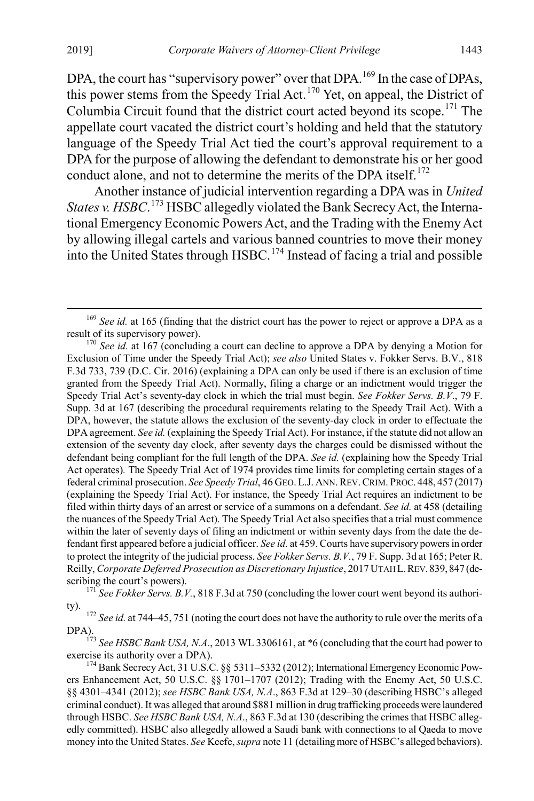<span id="page-29-6"></span>DPA, the court has "supervisory power" over that DPA.<sup>[169](#page-29-0)</sup> In the case of DPAs, this power stems from the Speedy Trial Act.<sup>170</sup> Yet, on appeal, the District of Columbia Circuit found that the district court acted beyond its scope.<sup>[171](#page-29-2)</sup> The appellate court vacated the district court's holding and held that the statutory language of the Speedy Trial Act tied the court's approval requirement to a DPA for the purpose of allowing the defendant to demonstrate his or her good conduct alone, and not to determine the merits of the DPA itself. $^{172}$  $^{172}$  $^{172}$ 

Another instance of judicial intervention regarding a DPA was in *United States v. HSBC*. [173](#page-29-4) HSBC allegedly violated the Bank Secrecy Act, the International Emergency Economic Powers Act, and the Trading with the Enemy Act by allowing illegal cartels and various banned countries to move their money into the United States through HSBC.[174](#page-29-5) Instead of facing a trial and possible

<span id="page-29-2"></span>ty). <sup>172</sup> *See id.* at 744–45, 751 (noting the court does not have the authority to rule over the merits of a

<span id="page-29-4"></span><span id="page-29-3"></span>DPA).<br><sup>173</sup> *See HSBC Bank USA, N.A.*, 2013 WL 3306161, at \*6 (concluding that the court had power to exercise its authority over a DPA).

<span id="page-29-5"></span><sup>174</sup> Bank Secrecy Act, 31 U.S.C. §§ 5311–5332 (2012); International Emergency Economic Powers Enhancement Act, 50 U.S.C. §§ 1701–1707 (2012); Trading with the Enemy Act, 50 U.S.C. §§ 4301–4341 (2012); *see HSBC Bank USA, N.A*., 863 F.3d at 129–30 (describing HSBC's alleged criminal conduct). It was alleged that around \$881 million in drug trafficking proceeds were laundered through HSBC. *See HSBC Bank USA, N.A*., 863 F.3d at 130 (describing the crimes that HSBC allegedly committed). HSBC also allegedly allowed a Saudi bank with connections to al Qaeda to move money into the United States. *See* Keefe, *supra* not[e 11](#page-3-1) (detailing more of HSBC's alleged behaviors).

<span id="page-29-0"></span><sup>&</sup>lt;sup>169</sup> *See id.* at 165 (finding that the district court has the power to reject or approve a DPA as a result of its supervisory power).

<span id="page-29-1"></span><sup>&</sup>lt;sup>170</sup> See id. at 167 (concluding a court can decline to approve a DPA by denying a Motion for Exclusion of Time under the Speedy Trial Act); *see also* United States v. Fokker Servs. B.V., 818 F.3d 733, 739 (D.C. Cir. 2016) (explaining a DPA can only be used if there is an exclusion of time granted from the Speedy Trial Act). Normally, filing a charge or an indictment would trigger the Speedy Trial Act's seventy-day clock in which the trial must begin. *See Fokker Servs. B.V*., 79 F. Supp. 3d at 167 (describing the procedural requirements relating to the Speedy Trail Act). With a DPA, however, the statute allows the exclusion of the seventy-day clock in order to effectuate the DPA agreement. *See id.* (explaining the Speedy Trial Act). For instance, if the statute did not allow an extension of the seventy day clock, after seventy days the charges could be dismissed without the defendant being compliant for the full length of the DPA. *See id.* (explaining how the Speedy Trial Act operates)*.* The Speedy Trial Act of 1974 provides time limits for completing certain stages of a federal criminal prosecution. *See Speedy Trial*, 46 GEO. L.J. ANN.REV.CRIM. PROC. 448, 457 (2017) (explaining the Speedy Trial Act). For instance, the Speedy Trial Act requires an indictment to be filed within thirty days of an arrest or service of a summons on a defendant. *See id.* at 458 (detailing the nuances of the Speedy Trial Act). The Speedy Trial Act also specifies that a trial must commence within the later of seventy days of filing an indictment or within seventy days from the date the defendant first appeared before a judicial officer. *See id.* at 459. Courts have supervisory powers in order to protect the integrity of the judicial process. *See Fokker Servs. B.V.*, 79 F. Supp. 3d at 165; Peter R. Reilly, *Corporate Deferred Prosecution as Discretionary Injustice*, 2017 UTAH L.REV. 839, 847 (describing the court's powers).<br><sup>171</sup> *See Fokker Servs. B.V.*, 818 F.3d at 750 (concluding the lower court went beyond its authori-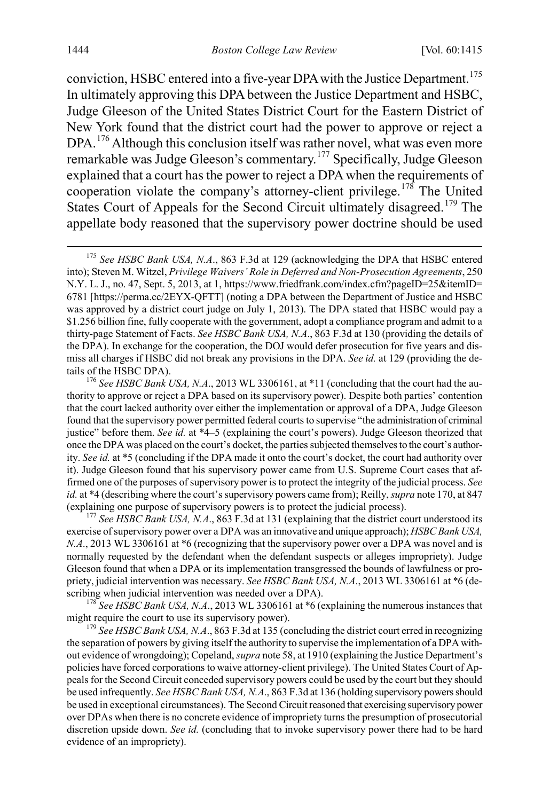conviction, HSBC entered into a five-year DPA with the Justice Department.<sup>[175](#page-30-0)</sup> In ultimately approving this DPA between the Justice Department and HSBC, Judge Gleeson of the United States District Court for the Eastern District of New York found that the district court had the power to approve or reject a DPA.<sup>[176](#page-30-1)</sup> Although this conclusion itself was rather novel, what was even more remarkable was Judge Gleeson's commentary.[177](#page-30-2) Specifically, Judge Gleeson explained that a court has the power to reject a DPA when the requirements of cooperation violate the company's attorney-client privilege.<sup>178</sup> The United States Court of Appeals for the Second Circuit ultimately disagreed.<sup>[179](#page-30-4)</sup> The appellate body reasoned that the supervisory power doctrine should be used

<span id="page-30-3"></span>might require the court to use its supervisory power).<br><sup>179</sup> *See HSBC Bank USA, N.A.*, 863 F.3d at 135 (concluding the district court erred in recognizing

<span id="page-30-4"></span>the separation of powers by giving itself the authority to supervise the implementation of a DPA without evidence of wrongdoing); Copeland, *supra* not[e 58,](#page-10-7) at 1910 (explaining the Justice Department's policies have forced corporations to waive attorney-client privilege). The United States Court of Appeals for the Second Circuit conceded supervisory powers could be used by the court but they should be used infrequently. *See HSBC Bank USA, N.A*., 863 F.3d at 136 (holding supervisory powers should be used in exceptional circumstances). The Second Circuit reasoned that exercising supervisory power over DPAs when there is no concrete evidence of impropriety turns the presumption of prosecutorial discretion upside down. *See id.* (concluding that to invoke supervisory power there had to be hard evidence of an impropriety).

<span id="page-30-0"></span><sup>&</sup>lt;sup>175</sup> See HSBC Bank USA, N.A., 863 F.3d at 129 (acknowledging the DPA that HSBC entered into); Steven M. Witzel, *Privilege Waivers' Role in Deferred and Non-Prosecution Agreements*, 250 N.Y. L. J., no. 47, Sept. 5, 2013, at 1, https://www.friedfrank.com/index.cfm?pageID=25&itemID= 6781 [https://perma.cc/2EYX-QFTT] (noting a DPA between the Department of Justice and HSBC was approved by a district court judge on July 1, 2013). The DPA stated that HSBC would pay a \$1.256 billion fine, fully cooperate with the government, adopt a compliance program and admit to a thirty-page Statement of Facts. *See HSBC Bank USA, N.A*., 863 F.3d at 130 (providing the details of the DPA). In exchange for the cooperation, the DOJ would defer prosecution for five years and dismiss all charges if HSBC did not break any provisions in the DPA. *See id.* at 129 (providing the details of the HSBC DPA).<br><sup>176</sup> *See HSBC Bank USA, N.A.*, 2013 WL 3306161, at \*11 (concluding that the court had the au-

<span id="page-30-1"></span>thority to approve or reject a DPA based on its supervisory power). Despite both parties' contention that the court lacked authority over either the implementation or approval of a DPA, Judge Gleeson found that the supervisory power permitted federal courts to supervise "the administration of criminal justice" before them. *See id.* at \*4–5 (explaining the court's powers). Judge Gleeson theorized that once the DPA was placed on the court's docket, the parties subjected themselves to the court's authority. *See id.* at \*5 (concluding if the DPA made it onto the court's docket, the court had authority over it). Judge Gleeson found that his supervisory power came from U.S. Supreme Court cases that affirmed one of the purposes of supervisory power is to protect the integrity of the judicial process. *See id.* at \*4 (describing where the court's supervisory powers came from); Reilly, *supra* not[e 170,](#page-29-6) at 847 (explaining one purpose of supervisory powers is to protect the judicial process). <sup>177</sup> *See HSBC Bank USA, N.A*., 863 F.3d at 131 (explaining that the district court understood its

<span id="page-30-2"></span>exercise of supervisory power over a DPA was an innovative and unique approach); *HSBC Bank USA, N.A.*, 2013 WL 3306161 at  $*6$  (recognizing that the supervisory power over a DPA was novel and is normally requested by the defendant when the defendant suspects or alleges impropriety). Judge Gleeson found that when a DPA or its implementation transgressed the bounds of lawfulness or propriety, judicial intervention was necessary. *See HSBC Bank USA, N.A*., 2013 WL 3306161 at \*6 (describing when judicial intervention was needed over a DPA).<br><sup>178</sup> *See HSBC Bank USA, N.A.*, 2013 WL 3306161 at \*6 (explaining the numerous instances that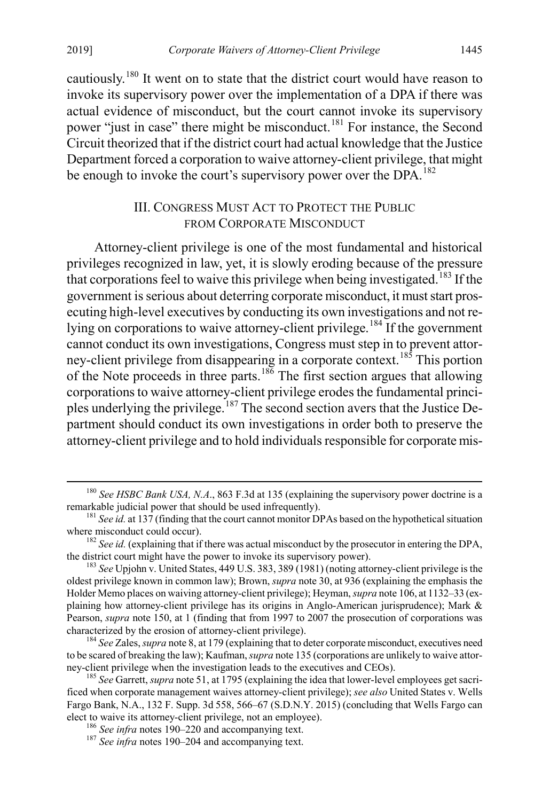cautiously.[180](#page-31-2) It went on to state that the district court would have reason to invoke its supervisory power over the implementation of a DPA if there was actual evidence of misconduct, but the court cannot invoke its supervisory power "just in case" there might be misconduct.<sup>[181](#page-31-3)</sup> For instance, the Second Circuit theorized that if the district court had actual knowledge that the Justice Department forced a corporation to waive attorney-client privilege, that might be enough to invoke the court's supervisory power over the DPA.<sup>[182](#page-31-4)</sup>

#### <span id="page-31-1"></span><span id="page-31-0"></span>III. CONGRESS MUST ACT TO PROTECT THE PUBLIC FROM CORPORATE MISCONDUCT

Attorney-client privilege is one of the most fundamental and historical privileges recognized in law, yet, it is slowly eroding because of the pressure that corporations feel to waive this privilege when being investigated.<sup>[183](#page-31-5)</sup> If the government is serious about deterring corporate misconduct, it must start prosecuting high-level executives by conducting its own investigations and not re-lying on corporations to waive attorney-client privilege.<sup>[184](#page-31-6)</sup> If the government cannot conduct its own investigations, Congress must step in to prevent attor-ney-client privilege from disappearing in a corporate context.<sup>[185](#page-31-7)</sup> This portion of the Note proceeds in three parts.<sup>[186](#page-31-8)</sup> The first section argues that allowing corporations to waive attorney-client privilege erodes the fundamental principles underlying the privilege.[187](#page-31-9) The second section avers that the Justice Department should conduct its own investigations in order both to preserve the attorney-client privilege and to hold individuals responsible for corporate mis-

<span id="page-31-2"></span><sup>&</sup>lt;sup>180</sup> *See HSBC Bank USA, N.A.*, 863 F.3d at 135 (explaining the supervisory power doctrine is a remarkable judicial power that should be used infrequently).

<span id="page-31-3"></span><sup>&</sup>lt;sup>181</sup> *See id.* at 137 (finding that the court cannot monitor DPAs based on the hypothetical situation where misconduct could occur).

<span id="page-31-4"></span><sup>&</sup>lt;sup>182</sup> *See id.* (explaining that if there was actual misconduct by the prosecutor in entering the DPA, the district court might have the power to invoke its supervisory power).

<span id="page-31-5"></span> $t^{183}$  *See* Upjohn v. United States, 449 U.S. 383, 389 (1981) (noting attorney-client privilege is the oldest privilege known in common law); Brown, *supra* not[e 30,](#page-6-0) at 936 (explaining the emphasis the Holder Memo places on waiving attorney-client privilege); Heyman, *supra* not[e 106,](#page-18-1) at 1132–33 (explaining how attorney-client privilege has its origins in Anglo-American jurisprudence); Mark & Pearson, *supra* note [150,](#page-25-8) at 1 (finding that from 1997 to 2007 the prosecution of corporations was characterized by the erosion of attorney-client privilege). <sup>184</sup> *See* Zales, *supra* not[e 8,](#page-2-7) at 179 (explaining that to deter corporate misconduct, executives need

<span id="page-31-6"></span>to be scared of breaking the law); Kaufman, *supra* not[e 135](#page-22-1) (corporations are unlikely to waive attorney-client privilege when the investigation leads to the executives and CEOs).

<span id="page-31-8"></span><span id="page-31-7"></span><sup>185</sup> *See* Garrett, *supra* not[e 51,](#page-9-7) at 1795 (explaining the idea that lower-level employees get sacrificed when corporate management waives attorney-client privilege); *see also* United States v. Wells Fargo Bank, N.A., 132 F. Supp. 3d 558, 566–67 (S.D.N.Y. 2015) (concluding that Wells Fargo can elect to waive its attorney-client privilege, not an employee). <sup>186</sup> *See infra* notes [190–](#page-32-0)[220](#page-37-0) and accompanying text. <sup>187</sup> *See infra* notes [190–](#page-32-0)[204](#page-34-0) and accompanying text.

<span id="page-31-9"></span>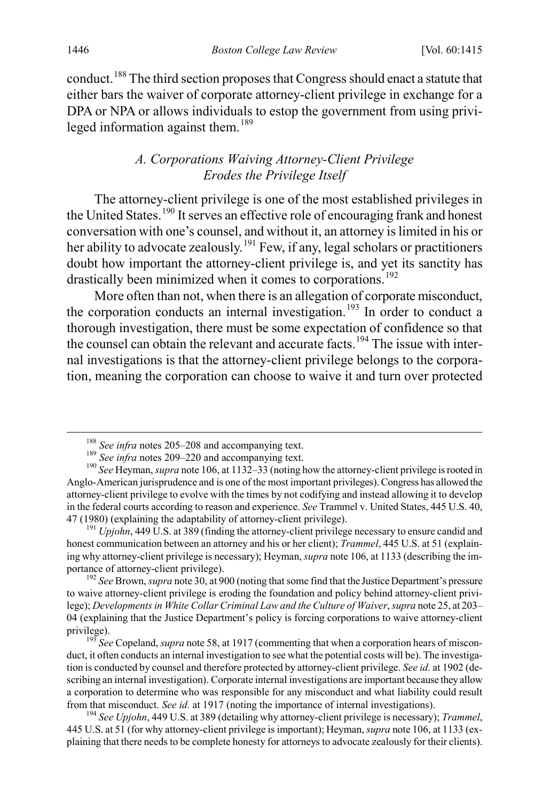conduct.[188](#page-32-1) The third section proposes that Congress should enact a statute that either bars the waiver of corporate attorney-client privilege in exchange for a DPA or NPA or allows individuals to estop the government from using privi-leged information against them.<sup>[189](#page-32-2)</sup>

## <span id="page-32-0"></span>*A. Corporations Waiving Attorney-Client Privilege Erodes the Privilege Itself*

The attorney-client privilege is one of the most established privileges in the United States.<sup>[190](#page-32-3)</sup> It serves an effective role of encouraging frank and honest conversation with one's counsel, and without it, an attorney is limited in his or her ability to advocate zealously.<sup>[191](#page-32-4)</sup> Few, if any, legal scholars or practitioners doubt how important the attorney-client privilege is, and yet its sanctity has drastically been minimized when it comes to corporations.<sup>[192](#page-32-5)</sup>

More often than not, when there is an allegation of corporate misconduct, the corporation conducts an internal investigation.<sup>[193](#page-32-6)</sup> In order to conduct a thorough investigation, there must be some expectation of confidence so that the counsel can obtain the relevant and accurate facts.<sup>[194](#page-32-7)</sup> The issue with internal investigations is that the attorney-client privilege belongs to the corporation, meaning the corporation can choose to waive it and turn over protected

<span id="page-32-4"></span>honest communication between an attorney and his or her client); *Trammel*, 445 U.S. at 51 (explaining why attorney-client privilege is necessary); Heyman, *supra* not[e 106,](#page-18-1) at 1133 (describing the importance of attorney-client privilege). <sup>192</sup> *See* Brown, *supra* not[e 30,](#page-6-0) at 900 (noting that some find that the Justice Department's pressure

<span id="page-32-5"></span>to waive attorney-client privilege is eroding the foundation and policy behind attorney-client privilege); *Developments in White Collar Criminal Law and the Culture of Waiver*, *supra* note 25, at 203– 04 (explaining that the Justice Department's policy is forcing corporations to waive attorney-client privilege). <sup>193</sup> *See* Copeland, *supra* not[e 58,](#page-10-7) at 1917 (commenting that when a corporation hears of miscon-

<span id="page-32-3"></span><span id="page-32-2"></span><span id="page-32-1"></span><sup>&</sup>lt;sup>188</sup> See infra notes [205–](#page-34-1)[208](#page-35-0) and accompanying text.<br><sup>189</sup> See infra notes [209–](#page-35-1)[220](#page-37-0) and accompanying text.<br><sup>190</sup> See Heyman, *supra* not[e 106,](#page-18-1) at 1132–33 (noting how the attorney-client privilege is rooted in Anglo-American jurisprudence and is one of the most important privileges). Congress has allowed the attorney-client privilege to evolve with the times by not codifying and instead allowing it to develop in the federal courts according to reason and experience. *See* Trammel v. United States, 445 U.S. 40, 47 (1980) (explaining the adaptability of attorney-client privilege). <sup>191</sup> *Upjohn*, 449 U.S. at 389 (finding the attorney-client privilege necessary to ensure candid and

<span id="page-32-6"></span>duct, it often conducts an internal investigation to see what the potential costs will be). The investigation is conducted by counsel and therefore protected by attorney-client privilege. *See id.* at 1902 (describing an internal investigation). Corporate internal investigations are important because they allow a corporation to determine who was responsible for any misconduct and what liability could result from that misconduct. *See id.* at 1917 (noting the importance of internal investigations). <sup>194</sup> *See Upjohn*, 449 U.S. at 389 (detailing why attorney-client privilege is necessary); *Trammel*,

<span id="page-32-7"></span><sup>445</sup> U.S. at 51 (for why attorney-client privilege is important); Heyman, *supra* not[e 106,](#page-18-1) at 1133 (explaining that there needs to be complete honesty for attorneys to advocate zealously for their clients).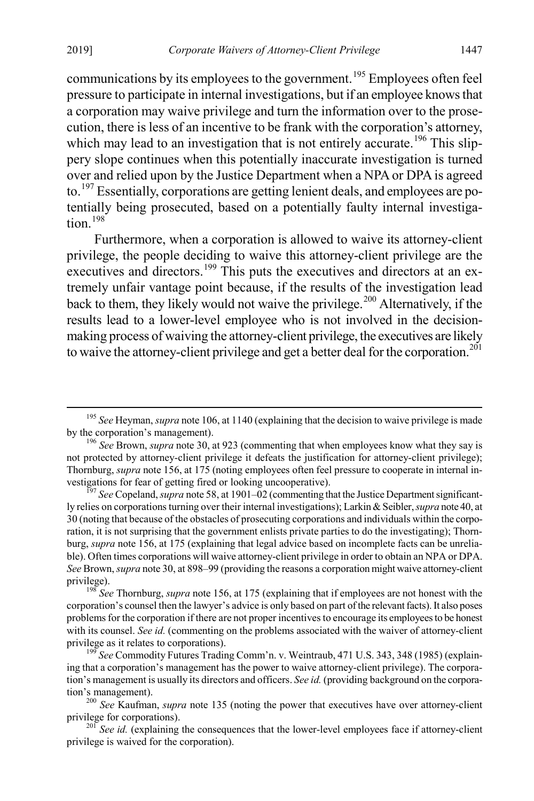communications by its employees to the government.<sup>[195](#page-33-0)</sup> Employees often feel pressure to participate in internal investigations, but if an employee knows that a corporation may waive privilege and turn the information over to the prosecution, there is less of an incentive to be frank with the corporation's attorney, which may lead to an investigation that is not entirely accurate.<sup>[196](#page-33-1)</sup> This slippery slope continues when this potentially inaccurate investigation is turned over and relied upon by the Justice Department when a NPA or DPA is agreed to.<sup>[197](#page-33-2)</sup> Essentially, corporations are getting lenient deals, and employees are potentially being prosecuted, based on a potentially faulty internal investiga $tion$ <sup>[198](#page-33-3)</sup>

Furthermore, when a corporation is allowed to waive its attorney-client privilege, the people deciding to waive this attorney-client privilege are the executives and directors.<sup>[199](#page-33-4)</sup> This puts the executives and directors at an extremely unfair vantage point because, if the results of the investigation lead back to them, they likely would not waive the privilege.<sup>[200](#page-33-5)</sup> Alternatively, if the results lead to a lower-level employee who is not involved in the decisionmaking process of waiving the attorney-client privilege, the executives are likely to waive the attorney-client privilege and get a better deal for the corporation.<sup>[201](#page-33-6)</sup>

<span id="page-33-1"></span><span id="page-33-0"></span><sup>&</sup>lt;sup>195</sup> *See* Heyman, *supra* not[e 106,](#page-18-1) at 1140 (explaining that the decision to waive privilege is made by the corporation's management).

<sup>&</sup>lt;sup>196</sup> See Brown, *supra* not[e 30,](#page-6-0) at 923 (commenting that when employees know what they say is not protected by attorney-client privilege it defeats the justification for attorney-client privilege); Thornburg, *supra* not[e 156,](#page-26-3) at 175 (noting employees often feel pressure to cooperate in internal investigations for fear of getting fired or looking uncooperative).

<span id="page-33-2"></span><sup>&</sup>lt;sup>197</sup> See Copeland, *supra* not[e 58,](#page-10-7) at 1901–02 (commenting that the Justice Department significantly relies on corporations turning over their internal investigations); Larkin & Seibler, *supra* not[e 40,](#page-7-4) at 30 (noting that because of the obstacles of prosecuting corporations and individuals within the corporation, it is not surprising that the government enlists private parties to do the investigating); Thornburg, *supra* note [156,](#page-26-3) at 175 (explaining that legal advice based on incomplete facts can be unreliable). Often times corporations will waive attorney-client privilege in order to obtain an NPA or DPA. *See* Brown, *supra* not[e 30,](#page-6-0) at 898–99 (providing the reasons a corporation might waive attorney-client privilege). <sup>198</sup> *See* Thornburg, *supra* not[e 156,](#page-26-3) at 175 (explaining that if employees are not honest with the

<span id="page-33-3"></span>corporation's counsel then the lawyer's advice is only based on part of the relevant facts). It also poses problems for the corporation if there are not proper incentives to encourage its employees to be honest with its counsel. *See id.* (commenting on the problems associated with the waiver of attorney-client privilege as it relates to corporations).<br><sup>199</sup> *See* Commodity Futures Trading Comm'n. v. Weintraub, 471 U.S. 343, 348 (1985) (explain-

<span id="page-33-4"></span>ing that a corporation's management has the power to waive attorney-client privilege). The corporation's management is usually its directors and officers. *See id.* (providing background on the corporation's management). <sup>200</sup> *See* Kaufman, *supra* note [135](#page-22-1) (noting the power that executives have over attorney-client

<span id="page-33-5"></span>privilege for corporations).<br><sup>201</sup> *See id.* (explaining the consequences that the lower-level employees face if attorney-client

<span id="page-33-6"></span>privilege is waived for the corporation).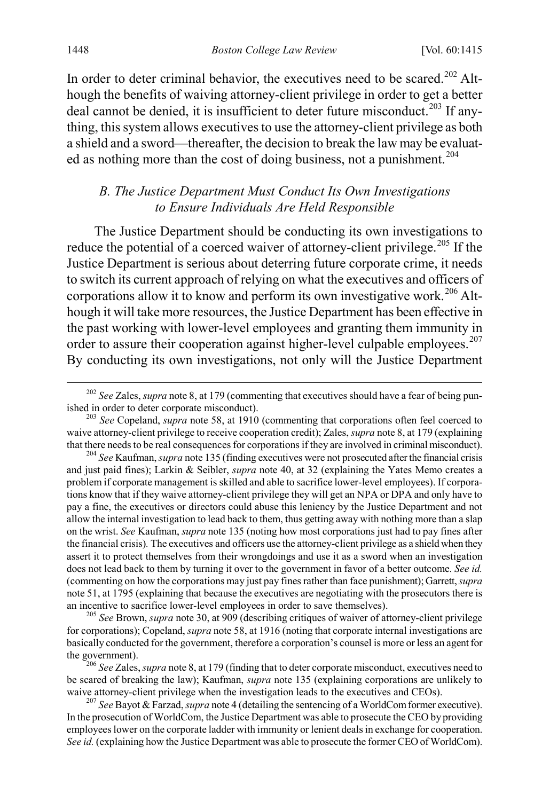In order to deter criminal behavior, the executives need to be scared.<sup>[202](#page-34-2)</sup> Although the benefits of waiving attorney-client privilege in order to get a better deal cannot be denied, it is insufficient to deter future misconduct.<sup>[203](#page-34-3)</sup> If anything, this system allows executives to use the attorney-client privilege as both a shield and a sword—thereafter, the decision to break the law may be evaluat-ed as nothing more than the cost of doing business, not a punishment.<sup>[204](#page-34-4)</sup>

### <span id="page-34-1"></span><span id="page-34-0"></span>*B. The Justice Department Must Conduct Its Own Investigations to Ensure Individuals Are Held Responsible*

The Justice Department should be conducting its own investigations to reduce the potential of a coerced waiver of attorney-client privilege.<sup>[205](#page-34-5)</sup> If the Justice Department is serious about deterring future corporate crime, it needs to switch its current approach of relying on what the executives and officers of corporations allow it to know and perform its own investigative work.<sup>[206](#page-34-6)</sup> Although it will take more resources, the Justice Department has been effective in the past working with lower-level employees and granting them immunity in order to assure their cooperation against higher-level culpable employees.<sup>[207](#page-34-7)</sup> By conducting its own investigations, not only will the Justice Department

<span id="page-34-2"></span><sup>&</sup>lt;sup>202</sup> See Zales, *supra* not[e 8,](#page-2-7) at 179 (commenting that executives should have a fear of being pun-<br>ished in order to deter corporate misconduct).

<span id="page-34-3"></span><sup>&</sup>lt;sup>203</sup> See Copeland, *supra* note [58,](#page-10-7) at 1910 (commenting that corporations often feel coerced to waive attorney-client privilege to receive cooperation credit); Zales, *supra* not[e 8,](#page-2-7) at 179 (explaining that there needs to be real consequences for corporations if they are involved in criminal misconduct).

<span id="page-34-4"></span><sup>&</sup>lt;sup>204</sup> See Kaufman, *supra* not[e 135](#page-22-1) (finding executives were not prosecuted after the financial crisis and just paid fines); Larkin & Seibler, *supra* note [40,](#page-7-4) at 32 (explaining the Yates Memo creates a problem if corporate management is skilled and able to sacrifice lower-level employees). If corporations know that if they waive attorney-client privilege they will get an NPA or DPA and only have to pay a fine, the executives or directors could abuse this leniency by the Justice Department and not allow the internal investigation to lead back to them, thus getting away with nothing more than a slap on the wrist. *See* Kaufman, *supra* note [135](#page-22-1) (noting how most corporations just had to pay fines after the financial crisis)*.* The executives and officers use the attorney-client privilege as a shield when they assert it to protect themselves from their wrongdoings and use it as a sword when an investigation does not lead back to them by turning it over to the government in favor of a better outcome. *See id.* (commenting on how the corporations may just pay fines rather than face punishment); Garrett, *supra*  not[e 51,](#page-9-7) at 1795 (explaining that because the executives are negotiating with the prosecutors there is an incentive to sacrifice lower-level employees in order to save themselves). <sup>205</sup> *See* Brown, *supra* note [30,](#page-6-0) at 909 (describing critiques of waiver of attorney-client privilege

<span id="page-34-5"></span>for corporations); Copeland, *supra* not[e 58,](#page-10-7) at 1916 (noting that corporate internal investigations are basically conducted for the government, therefore a corporation's counsel is more or less an agent for the government). <sup>206</sup> *See* Zales, *supra* not[e 8,](#page-2-7) at 179 (finding that to deter corporate misconduct, executives need to

<span id="page-34-6"></span>be scared of breaking the law); Kaufman, *supra* note [135](#page-22-1) (explaining corporations are unlikely to waive attorney-client privilege when the investigation leads to the executives and CEOs). <sup>207</sup> *See* Bayot & Farzad, *supra* not[e 4](#page-2-0) (detailing the sentencing of a WorldCom former executive).

<span id="page-34-7"></span>In the prosecution of WorldCom, the Justice Department was able to prosecute the CEO by providing employees lower on the corporate ladder with immunity or lenient deals in exchange for cooperation. See id. (explaining how the Justice Department was able to prosecute the former CEO of WorldCom).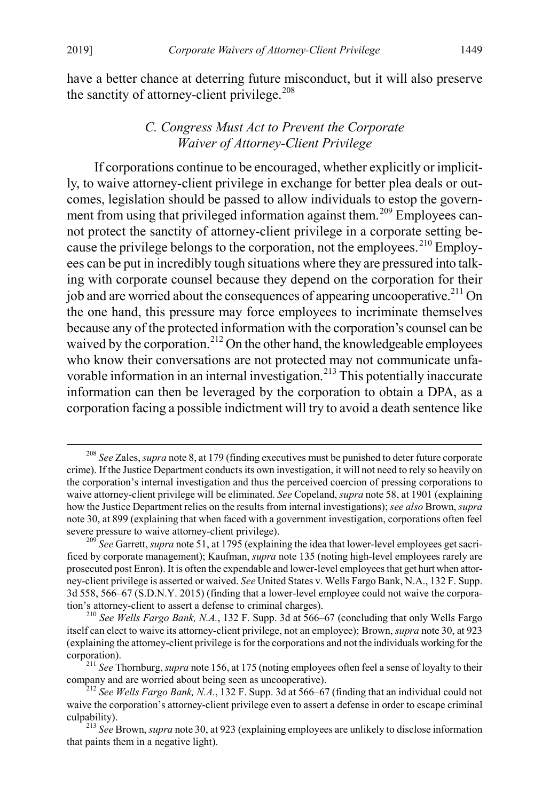have a better chance at deterring future misconduct, but it will also preserve the sanctity of attorney-client privilege. $208$ 

### <span id="page-35-1"></span><span id="page-35-0"></span>*C. Congress Must Act to Prevent the Corporate Waiver of Attorney-Client Privilege*

If corporations continue to be encouraged, whether explicitly or implicitly, to waive attorney-client privilege in exchange for better plea deals or outcomes, legislation should be passed to allow individuals to estop the govern-ment from using that privileged information against them.<sup>[209](#page-35-3)</sup> Employees cannot protect the sanctity of attorney-client privilege in a corporate setting because the privilege belongs to the corporation, not the employees.  $^{210}$  $^{210}$  $^{210}$  Employees can be put in incredibly tough situations where they are pressured into talking with corporate counsel because they depend on the corporation for their job and are worried about the consequences of appearing uncooperative.<sup>[211](#page-35-5)</sup> On the one hand, this pressure may force employees to incriminate themselves because any of the protected information with the corporation's counsel can be waived by the corporation.<sup>[212](#page-35-6)</sup> On the other hand, the knowledgeable employees who know their conversations are not protected may not communicate unfavorable information in an internal investigation. [213](#page-35-7) This potentially inaccurate information can then be leveraged by the corporation to obtain a DPA, as a corporation facing a possible indictment will try to avoid a death sentence like

<span id="page-35-2"></span> <sup>208</sup> *See* Zales, *supra* not[e 8,](#page-2-7) at 179 (finding executives must be punished to deter future corporate crime). If the Justice Department conducts its own investigation, it will not need to rely so heavily on the corporation's internal investigation and thus the perceived coercion of pressing corporations to waive attorney-client privilege will be eliminated. *See* Copeland, *supra* not[e 58,](#page-10-7) at 1901 (explaining how the Justice Department relies on the results from internal investigations); *see also* Brown, *supra*  not[e 30,](#page-6-0) at 899 (explaining that when faced with a government investigation, corporations often feel severe pressure to waive attorney-client privilege). <sup>209</sup> *See* Garrett, *supra* not[e 51,](#page-9-7) at 1795 (explaining the idea that lower-level employees get sacri-

<span id="page-35-3"></span>ficed by corporate management); Kaufman, *supra* not[e 135](#page-22-1) (noting high-level employees rarely are prosecuted post Enron). It is often the expendable and lower-level employees that get hurt when attorney-client privilege is asserted or waived. *See* United States v. Wells Fargo Bank, N.A., 132 F. Supp. 3d 558, 566–67 (S.D.N.Y. 2015) (finding that a lower-level employee could not waive the corporation's attorney-client to assert a defense to criminal charges). <sup>210</sup> *See Wells Fargo Bank, N.A.*, 132 F. Supp. 3d at 566–67 (concluding that only Wells Fargo

<span id="page-35-4"></span>itself can elect to waive its attorney-client privilege, not an employee); Brown, *supra* not[e 30,](#page-6-0) at 923 (explaining the attorney-client privilege is for the corporations and not the individuals working for the corporation). <sup>211</sup> *See* Thornburg, *supra* not[e 156,](#page-26-3) at 175 (noting employees often feel a sense of loyalty to their

<span id="page-35-5"></span>company and are worried about being seen as uncooperative). <sup>212</sup> *See Wells Fargo Bank, N.A.*, 132 F. Supp. 3d at 566–67 (finding that an individual could not

<span id="page-35-6"></span>waive the corporation's attorney-client privilege even to assert a defense in order to escape criminal culpability). <sup>213</sup> *See* Brown, *supra* not[e 30,](#page-6-0) at 923 (explaining employees are unlikely to disclose information

<span id="page-35-7"></span>that paints them in a negative light).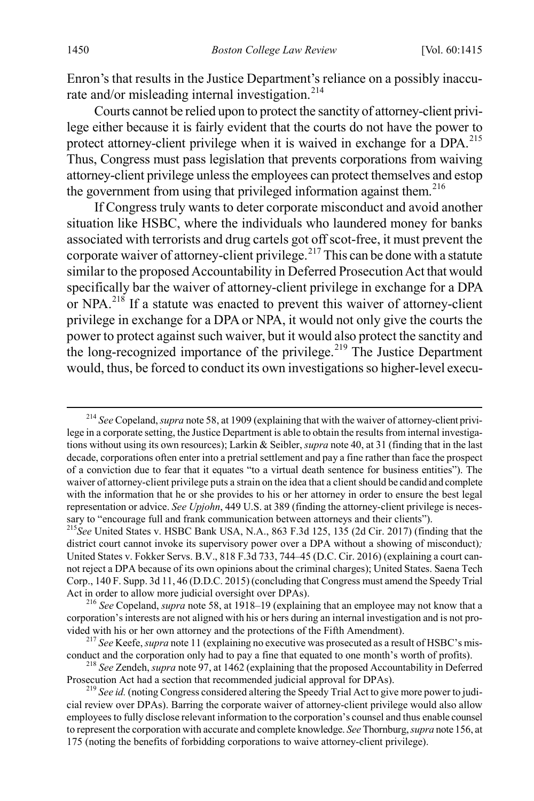Enron's that results in the Justice Department's reliance on a possibly inaccu-rate and/or misleading internal investigation.<sup>[214](#page-36-0)</sup>

Courts cannot be relied upon to protect the sanctity of attorney-client privilege either because it is fairly evident that the courts do not have the power to protect attorney-client privilege when it is waived in exchange for a DPA.<sup>[215](#page-36-1)</sup> Thus, Congress must pass legislation that prevents corporations from waiving attorney-client privilege unless the employees can protect themselves and estop the government from using that privileged information against them.<sup>[216](#page-36-2)</sup>

If Congress truly wants to deter corporate misconduct and avoid another situation like HSBC, where the individuals who laundered money for banks associated with terrorists and drug cartels got off scot-free, it must prevent the corporate waiver of attorney-client privilege.<sup>[217](#page-36-3)</sup> This can be done with a statute similar to the proposed Accountability in Deferred Prosecution Act that would specifically bar the waiver of attorney-client privilege in exchange for a DPA or NPA.<sup>[218](#page-36-4)</sup> If a statute was enacted to prevent this waiver of attorney-client privilege in exchange for a DPA or NPA, it would not only give the courts the power to protect against such waiver, but it would also protect the sanctity and the long-recognized importance of the privilege.<sup>[219](#page-36-5)</sup> The Justice Department would, thus, be forced to conduct its own investigations so higher-level execu-

<span id="page-36-0"></span> <sup>214</sup> *See* Copeland, *supra* not[e 58,](#page-10-7) at 1909 (explaining that with the waiver of attorney-client privilege in a corporate setting, the Justice Department is able to obtain the results from internal investigations without using its own resources); Larkin & Seibler, *supra* not[e 40,](#page-7-4) at 31 (finding that in the last decade, corporations often enter into a pretrial settlement and pay a fine rather than face the prospect of a conviction due to fear that it equates "to a virtual death sentence for business entities"). The waiver of attorney-client privilege puts a strain on the idea that a client should be candid and complete with the information that he or she provides to his or her attorney in order to ensure the best legal representation or advice. *See Upjohn*, 449 U.S. at 389 (finding the attorney-client privilege is necessary to "encourage full and frank communication between attorneys and their clients").

<span id="page-36-1"></span><sup>215</sup>*See* United States v. HSBC Bank USA, N.A., 863 F.3d 125, 135 (2d Cir. 2017) (finding that the district court cannot invoke its supervisory power over a DPA without a showing of misconduct)*;*  United States v. Fokker Servs. B.V., 818 F.3d 733, 744–45 (D.C. Cir. 2016) (explaining a court cannot reject a DPA because of its own opinions about the criminal charges); United States. Saena Tech Corp., 140 F. Supp. 3d 11, 46 (D.D.C. 2015) (concluding that Congress must amend the Speedy Trial Act in order to allow more judicial oversight over DPAs). <sup>216</sup> *See* Copeland, *supra* not[e 58,](#page-10-7) at 1918–19 (explaining that an employee may not know that a

<span id="page-36-2"></span>corporation's interests are not aligned with his or hers during an internal investigation and is not provided with his or her own attorney and the protections of the Fifth Amendment).<br><sup>217</sup> *See* Keefe, *supra* not[e 11](#page-3-1) (explaining no executive was prosecuted as a result of HSBC's mis-

<span id="page-36-3"></span>

<span id="page-36-4"></span>conduct and the corporation only had to pay a fine that equated to one month's worth of profits).<br><sup>218</sup> *See Zendeh, supra* not[e 97,](#page-16-7) at 1462 (explaining that the proposed Accountability in Deferred Prosecution Act had a se

<span id="page-36-5"></span><sup>&</sup>lt;sup>219</sup> See id. (noting Congress considered altering the Speedy Trial Act to give more power to judicial review over DPAs). Barring the corporate waiver of attorney-client privilege would also allow employees to fully disclose relevant information to the corporation's counsel and thus enable counsel to represent the corporation with accurate and complete knowledge. *See* Thornburg, *supra* not[e 156,](#page-26-3) at 175 (noting the benefits of forbidding corporations to waive attorney-client privilege).